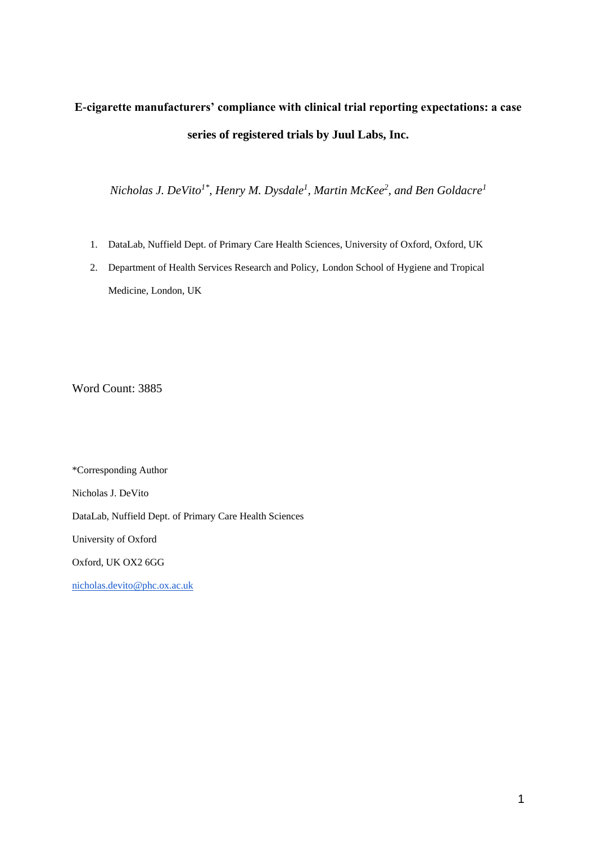# **E-cigarette manufacturers' compliance with clinical trial reporting expectations: a case series of registered trials by Juul Labs, Inc.**

*Nicholas J. DeVito1\*, Henry M. Dysdale<sup>1</sup> , Martin McKee<sup>2</sup> , and Ben Goldacre<sup>1</sup>*

- 1. DataLab, Nuffield Dept. of Primary Care Health Sciences, University of Oxford, Oxford, UK
- 2. Department of Health Services Research and Policy, London School of Hygiene and Tropical Medicine, London, UK

Word Count: 3885

\*Corresponding Author Nicholas J. DeVito

DataLab, Nuffield Dept. of Primary Care Health Sciences

University of Oxford

Oxford, UK OX2 6GG

[nicholas.devito@phc.ox.ac.uk](mailto:nicholas.devito@phc.ox.ac.uk)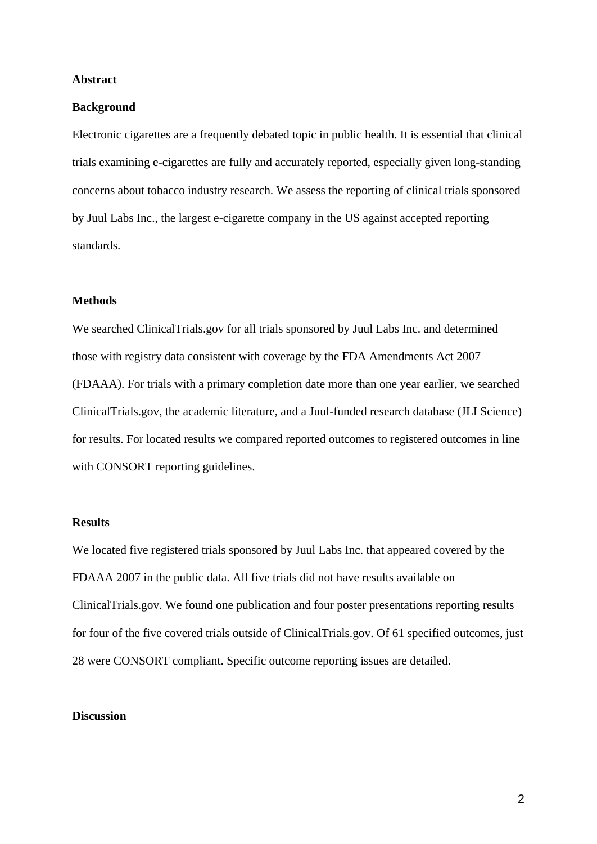#### **Abstract**

#### **Background**

Electronic cigarettes are a frequently debated topic in public health. It is essential that clinical trials examining e-cigarettes are fully and accurately reported, especially given long-standing concerns about tobacco industry research. We assess the reporting of clinical trials sponsored by Juul Labs Inc., the largest e-cigarette company in the US against accepted reporting standards.

## **Methods**

We searched ClinicalTrials.gov for all trials sponsored by Juul Labs Inc. and determined those with registry data consistent with coverage by the FDA Amendments Act 2007 (FDAAA). For trials with a primary completion date more than one year earlier, we searched ClinicalTrials.gov, the academic literature, and a Juul-funded research database (JLI Science) for results. For located results we compared reported outcomes to registered outcomes in line with CONSORT reporting guidelines.

# **Results**

We located five registered trials sponsored by Juul Labs Inc. that appeared covered by the FDAAA 2007 in the public data. All five trials did not have results available on ClinicalTrials.gov. We found one publication and four poster presentations reporting results for four of the five covered trials outside of ClinicalTrials.gov. Of 61 specified outcomes, just 28 were CONSORT compliant. Specific outcome reporting issues are detailed.

## **Discussion**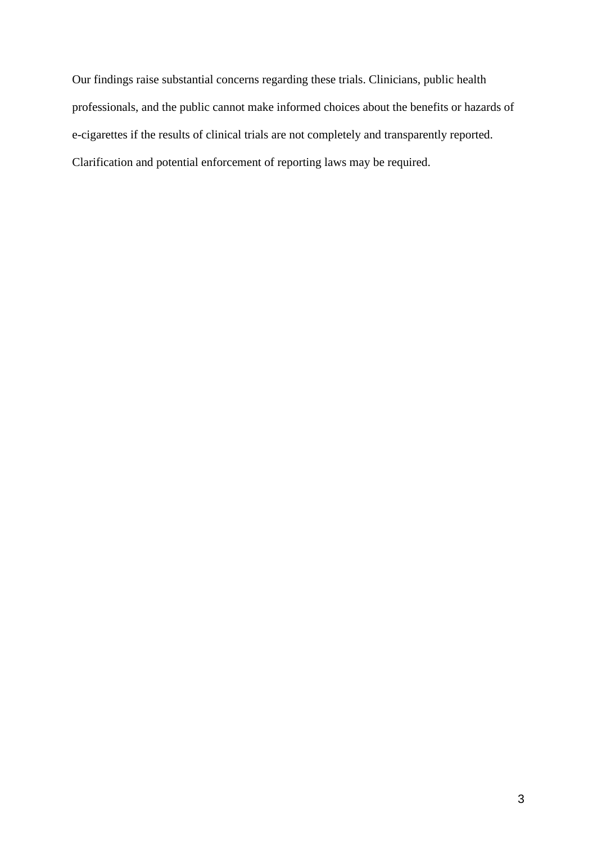Our findings raise substantial concerns regarding these trials. Clinicians, public health professionals, and the public cannot make informed choices about the benefits or hazards of e-cigarettes if the results of clinical trials are not completely and transparently reported. Clarification and potential enforcement of reporting laws may be required.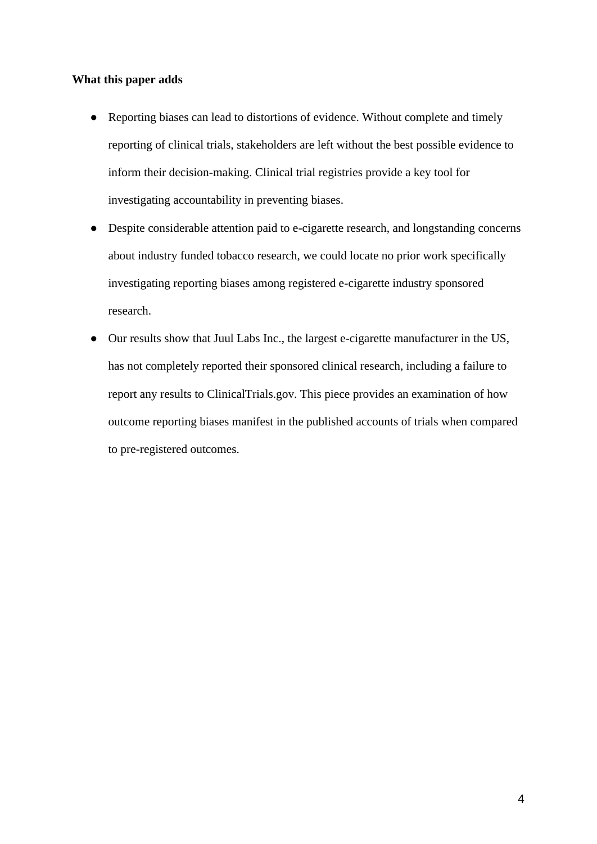#### **What this paper adds**

- Reporting biases can lead to distortions of evidence. Without complete and timely reporting of clinical trials, stakeholders are left without the best possible evidence to inform their decision-making. Clinical trial registries provide a key tool for investigating accountability in preventing biases.
- Despite considerable attention paid to e-cigarette research, and longstanding concerns about industry funded tobacco research, we could locate no prior work specifically investigating reporting biases among registered e-cigarette industry sponsored research.
- Our results show that Juul Labs Inc., the largest e-cigarette manufacturer in the US, has not completely reported their sponsored clinical research, including a failure to report any results to ClinicalTrials.gov. This piece provides an examination of how outcome reporting biases manifest in the published accounts of trials when compared to pre-registered outcomes.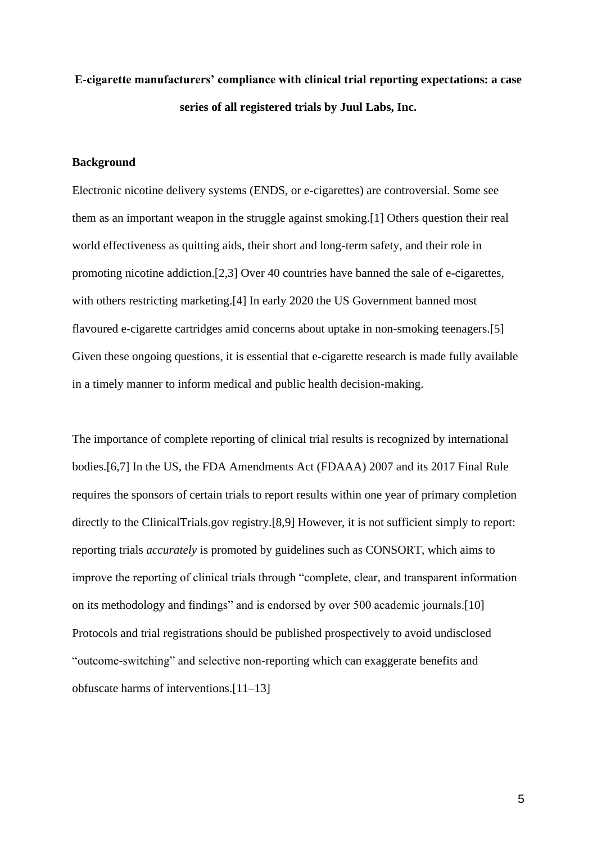# **E-cigarette manufacturers' compliance with clinical trial reporting expectations: a case series of all registered trials by Juul Labs, Inc.**

## **Background**

Electronic nicotine delivery systems (ENDS, or e-cigarettes) are controversial. Some see them as an important weapon in the struggle against smoking[.\[1\]](https://paperpile.com/c/Jq9uH1/9AM9r) Others question their real world effectiveness as quitting aids, their short and long-term safety, and their role in promoting nicotine addiction[.\[2,3\]](https://paperpile.com/c/Jq9uH1/X5nr0+xIgxP) Over 40 countries have banned the sale of e-cigarettes, with others restricting marketing.<sup>[4]</sup> In early 2020 the US Government banned most flavoured e-cigarette cartridges amid concerns about uptake in non-smoking teenagers[.\[5\]](https://paperpile.com/c/Jq9uH1/gsrop) Given these ongoing questions, it is essential that e-cigarette research is made fully available in a timely manner to inform medical and public health decision-making.

The importance of complete reporting of clinical trial results is recognized by international bodies[.\[6,7\]](https://paperpile.com/c/Jq9uH1/V3x6o+VsrI7) In the US, the FDA Amendments Act (FDAAA) 2007 and its 2017 Final Rule requires the sponsors of certain trials to report results within one year of primary completion directly to the ClinicalTrials.gov registry[.\[8,9\]](https://paperpile.com/c/Jq9uH1/Ko0N+sOw55) However, it is not sufficient simply to report: reporting trials *accurately* is promoted by guidelines such as CONSORT, which aims to improve the reporting of clinical trials through "complete, clear, and transparent information on its methodology and findings" and is endorsed by over 500 academic journals[.\[10\]](https://paperpile.com/c/Jq9uH1/NZQxR)  Protocols and trial registrations should be published prospectively to avoid undisclosed "outcome-switching" and selective non-reporting which can exaggerate benefits and obfuscate harms of interventions[.\[11–13\]](https://paperpile.com/c/Jq9uH1/7pnNM+JH5m9+lqguo)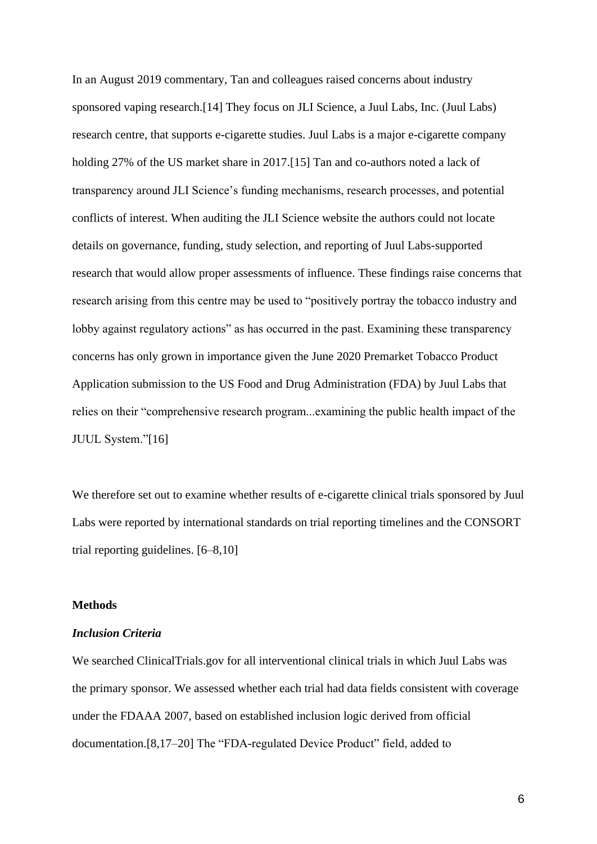In an August 2019 commentary, Tan and colleagues raised concerns about industry sponsored vaping research[.\[14\]](https://paperpile.com/c/Jq9uH1/76mlU) They focus on JLI Science, a Juul Labs, Inc. (Juul Labs) research centre, that supports e-cigarette studies. Juul Labs is a major e-cigarette company holding 27% of the US market share in 2017[.\[15\]](https://paperpile.com/c/Jq9uH1/2HGaj) Tan and co-authors noted a lack of transparency around JLI Science's funding mechanisms, research processes, and potential conflicts of interest. When auditing the JLI Science website the authors could not locate details on governance, funding, study selection, and reporting of Juul Labs-supported research that would allow proper assessments of influence. These findings raise concerns that research arising from this centre may be used to "positively portray the tobacco industry and lobby against regulatory actions" as has occurred in the past. Examining these transparency concerns has only grown in importance given the June 2020 Premarket Tobacco Product Application submission to the US Food and Drug Administration (FDA) by Juul Labs that relies on their "comprehensive research program...examining the public health impact of the JUUL System.["\[16\]](https://paperpile.com/c/Jq9uH1/0gi6L)

We therefore set out to examine whether results of e-cigarette clinical trials sponsored by Juul Labs were reported by international standards on trial reporting timelines and the CONSORT trial reporting guidelines. [\[6–8,10\]](https://paperpile.com/c/Jq9uH1/Ko0N+V3x6o+NZQxR+VsrI7)

#### **Methods**

#### *Inclusion Criteria*

We searched ClinicalTrials.gov for all interventional clinical trials in which Juul Labs was the primary sponsor. We assessed whether each trial had data fields consistent with coverage under the FDAAA 2007, based on established inclusion logic derived from official documentation[.\[8,17–20\]](https://paperpile.com/c/Jq9uH1/R9fp+xYsj4+zOqbf+fqXF7+Ko0N) The "FDA-regulated Device Product" field, added to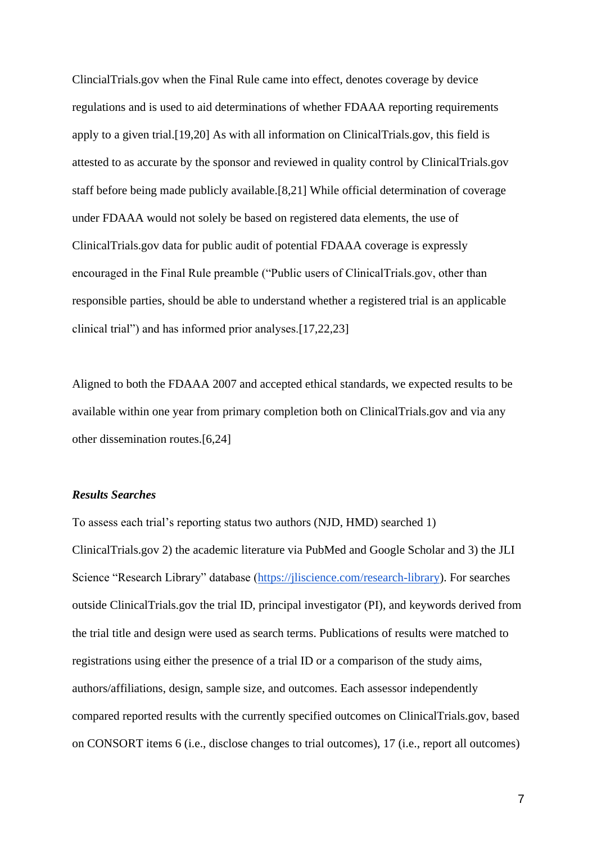ClincialTrials.gov when the Final Rule came into effect, denotes coverage by device regulations and is used to aid determinations of whether FDAAA reporting requirements apply to a given trial[.\[19,20\]](https://paperpile.com/c/Jq9uH1/fqXF7+zOqbf) As with all information on ClinicalTrials.gov, this field is attested to as accurate by the sponsor and reviewed in quality control by ClinicalTrials.gov staff before being made publicly available[.\[8,21\]](https://paperpile.com/c/Jq9uH1/Ko0N+gZSmg) While official determination of coverage under FDAAA would not solely be based on registered data elements, the use of ClinicalTrials.gov data for public audit of potential FDAAA coverage is expressly encouraged in the Final Rule preamble ("Public users of ClinicalTrials.gov, other than responsible parties, should be able to understand whether a registered trial is an applicable clinical trial") and has informed prior analyses[.\[17,22,23\]](https://paperpile.com/c/Jq9uH1/R9fp+IVQt+We4p)

Aligned to both the FDAAA 2007 and accepted ethical standards, we expected results to be available within one year from primary completion both on ClinicalTrials.gov and via any other dissemination routes[.\[6,24\]](https://paperpile.com/c/Jq9uH1/V3x6o+PlND4)

#### *Results Searches*

To assess each trial's reporting status two authors (NJD, HMD) searched 1) ClinicalTrials.gov 2) the academic literature via PubMed and Google Scholar and 3) the JLI Science "Research Library" database [\(https://jliscience.com/research-library\)](https://jliscience.com/research-library). For searches outside ClinicalTrials.gov the trial ID, principal investigator (PI), and keywords derived from the trial title and design were used as search terms. Publications of results were matched to registrations using either the presence of a trial ID or a comparison of the study aims, authors/affiliations, design, sample size, and outcomes. Each assessor independently compared reported results with the currently specified outcomes on ClinicalTrials.gov, based on CONSORT items 6 (i.e., disclose changes to trial outcomes), 17 (i.e., report all outcomes)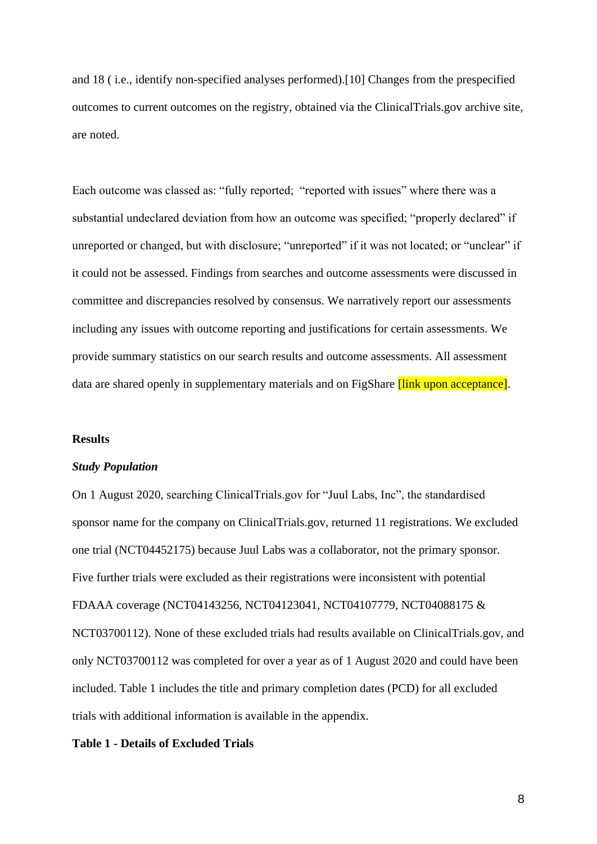and 18 ( i.e., identify non-specified analyses performed)[.\[10\]](https://paperpile.com/c/Jq9uH1/NZQxR) Changes from the prespecified outcomes to current outcomes on the registry, obtained via the ClinicalTrials.gov archive site, are noted.

Each outcome was classed as: "fully reported; "reported with issues" where there was a substantial undeclared deviation from how an outcome was specified; "properly declared" if unreported or changed, but with disclosure; "unreported" if it was not located; or "unclear" if it could not be assessed. Findings from searches and outcome assessments were discussed in committee and discrepancies resolved by consensus. We narratively report our assessments including any issues with outcome reporting and justifications for certain assessments. We provide summary statistics on our search results and outcome assessments. All assessment data are shared openly in supplementary materials and on FigShare *[link upon acceptance]*.

#### **Results**

#### *Study Population*

On 1 August 2020, searching ClinicalTrials.gov for "Juul Labs, Inc", the standardised sponsor name for the company on ClinicalTrials.gov, returned 11 registrations. We excluded one trial (NCT04452175) because Juul Labs was a collaborator, not the primary sponsor. Five further trials were excluded as their registrations were inconsistent with potential FDAAA coverage (NCT04143256, NCT04123041, NCT04107779, NCT04088175 & NCT03700112). None of these excluded trials had results available on ClinicalTrials.gov, and only NCT03700112 was completed for over a year as of 1 August 2020 and could have been included. Table 1 includes the title and primary completion dates (PCD) for all excluded trials with additional information is available in the appendix.

## **Table 1 - Details of Excluded Trials**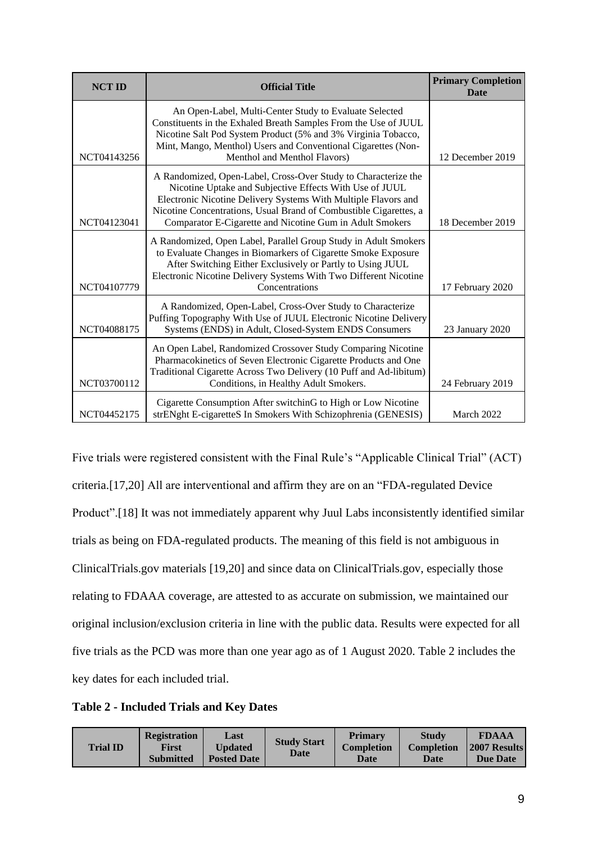| <b>NCT ID</b> | <b>Official Title</b>                                                                                                                                                                                                                                                                                                        | <b>Primary Completion</b><br>Date |
|---------------|------------------------------------------------------------------------------------------------------------------------------------------------------------------------------------------------------------------------------------------------------------------------------------------------------------------------------|-----------------------------------|
| NCT04143256   | An Open-Label, Multi-Center Study to Evaluate Selected<br>Constituents in the Exhaled Breath Samples From the Use of JUUL<br>Nicotine Salt Pod System Product (5% and 3% Virginia Tobacco,<br>Mint, Mango, Menthol) Users and Conventional Cigarettes (Non-<br>Menthol and Menthol Flavors)                                  | 12 December 2019                  |
| NCT04123041   | A Randomized, Open-Label, Cross-Over Study to Characterize the<br>Nicotine Uptake and Subjective Effects With Use of JUUL<br>Electronic Nicotine Delivery Systems With Multiple Flavors and<br>Nicotine Concentrations, Usual Brand of Combustible Cigarettes, a<br>Comparator E-Cigarette and Nicotine Gum in Adult Smokers | 18 December 2019                  |
| NCT04107779   | A Randomized, Open Label, Parallel Group Study in Adult Smokers<br>to Evaluate Changes in Biomarkers of Cigarette Smoke Exposure<br>After Switching Either Exclusively or Partly to Using JUUL<br>Electronic Nicotine Delivery Systems With Two Different Nicotine<br>Concentrations                                         | 17 February 2020                  |
| NCT04088175   | A Randomized, Open-Label, Cross-Over Study to Characterize<br>Puffing Topography With Use of JUUL Electronic Nicotine Delivery<br>Systems (ENDS) in Adult, Closed-System ENDS Consumers                                                                                                                                      | 23 January 2020                   |
| NCT03700112   | An Open Label, Randomized Crossover Study Comparing Nicotine<br>Pharmacokinetics of Seven Electronic Cigarette Products and One<br>Traditional Cigarette Across Two Delivery (10 Puff and Ad-libitum)<br>Conditions, in Healthy Adult Smokers.                                                                               | 24 February 2019                  |
| NCT04452175   | Cigarette Consumption After switchinG to High or Low Nicotine<br>strENght E-cigaretteS In Smokers With Schizophrenia (GENESIS)                                                                                                                                                                                               | March 2022                        |

Five trials were registered consistent with the Final Rule's "Applicable Clinical Trial" (ACT) criteria[.\[17,20\]](https://paperpile.com/c/Jq9uH1/R9fp+fqXF7) All are interventional and affirm they are on an "FDA-regulated Device Product"[.\[18\]](https://paperpile.com/c/Jq9uH1/xYsj4) It was not immediately apparent why Juul Labs inconsistently identified similar trials as being on FDA-regulated products. The meaning of this field is not ambiguous in ClinicalTrials.gov materials [\[19,20\]](https://paperpile.com/c/Jq9uH1/fqXF7+zOqbf) and since data on ClinicalTrials.gov, especially those relating to FDAAA coverage, are attested to as accurate on submission, we maintained our original inclusion/exclusion criteria in line with the public data. Results were expected for all five trials as the PCD was more than one year ago as of 1 August 2020. Table 2 includes the key dates for each included trial.

**Table 2 - Included Trials and Key Dates**

| <b>Trial ID</b> | <b>Registration</b><br>First<br><b>Submitted</b> | Last<br>Updated<br><b>Posted Date</b> | <b>Study Start</b><br>Date | <b>Primary</b><br><b>Completion</b><br>Date | <b>Study</b><br><b>Completion</b><br>Date | <b>FDAAA</b><br><b>2007 Results</b><br><b>Due Date</b> |
|-----------------|--------------------------------------------------|---------------------------------------|----------------------------|---------------------------------------------|-------------------------------------------|--------------------------------------------------------|
|-----------------|--------------------------------------------------|---------------------------------------|----------------------------|---------------------------------------------|-------------------------------------------|--------------------------------------------------------|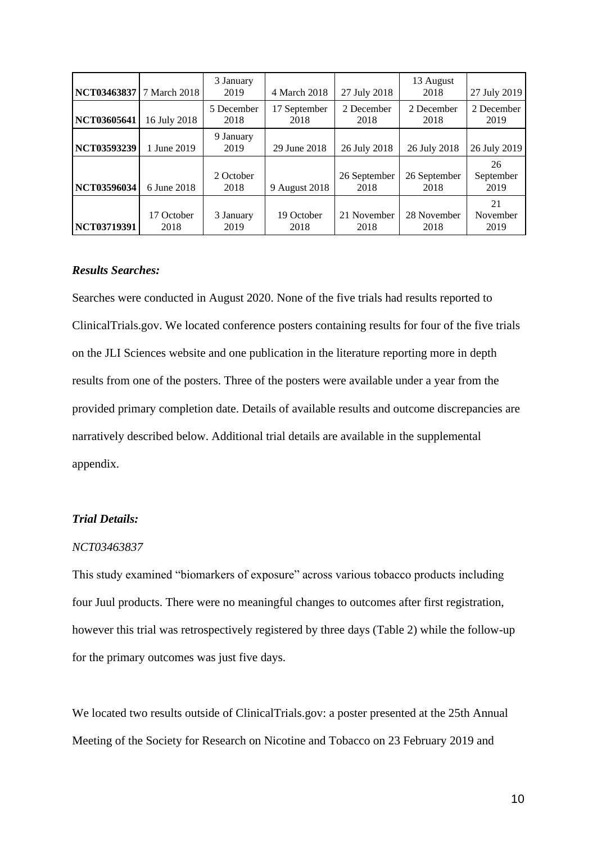| NCT03463837        | 7 March 2018       | 3 January<br>2019  | 4 March 2018         | 27 July 2018         | 13 August<br>2018    | 27 July 2019            |
|--------------------|--------------------|--------------------|----------------------|----------------------|----------------------|-------------------------|
| NCT03605641        | 16 July 2018       | 5 December<br>2018 | 17 September<br>2018 | 2 December<br>2018   | 2 December<br>2018   | 2 December<br>2019      |
| <b>NCT03593239</b> | 1 June 2019        | 9 January<br>2019  | 29 June 2018         | 26 July 2018         | 26 July 2018         | 26 July 2019            |
| <b>NCT03596034</b> | 6 June 2018        | 2 October<br>2018  | 9 August 2018        | 26 September<br>2018 | 26 September<br>2018 | 26<br>September<br>2019 |
| NCT03719391        | 17 October<br>2018 | 3 January<br>2019  | 19 October<br>2018   | 21 November<br>2018  | 28 November<br>2018  | 21<br>November<br>2019  |

## *Results Searches:*

Searches were conducted in August 2020. None of the five trials had results reported to ClinicalTrials.gov. We located conference posters containing results for four of the five trials on the JLI Sciences website and one publication in the literature reporting more in depth results from one of the posters. Three of the posters were available under a year from the provided primary completion date. Details of available results and outcome discrepancies are narratively described below. Additional trial details are available in the supplemental appendix.

### *Trial Details:*

#### *NCT03463837*

This study examined "biomarkers of exposure" across various tobacco products including four Juul products. There were no meaningful changes to outcomes after first registration, however this trial was retrospectively registered by three days (Table 2) while the follow-up for the primary outcomes was just five days.

We located two results outside of ClinicalTrials.gov: a poster presented at the 25th Annual Meeting of the Society for Research on Nicotine and Tobacco on 23 February 2019 and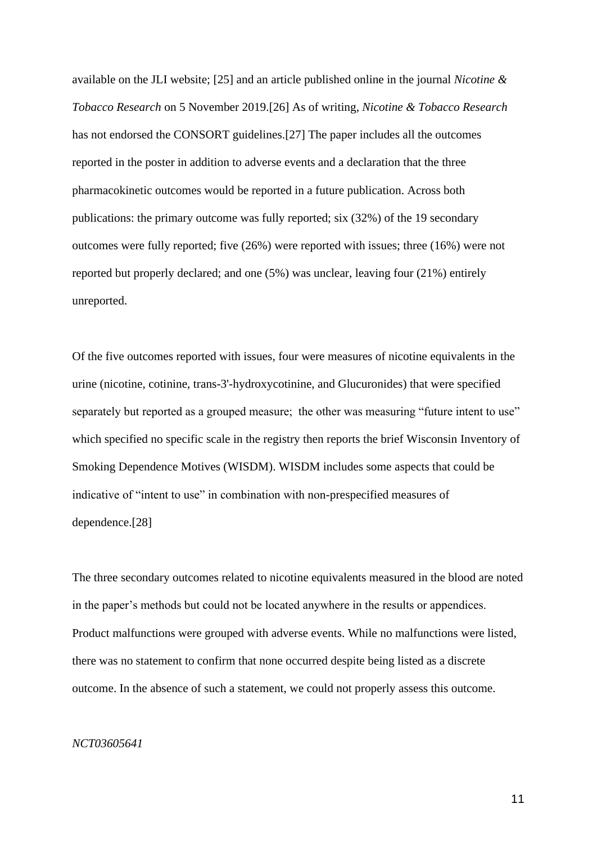available on the JLI website; [\[25\]](https://paperpile.com/c/Jq9uH1/sNhG6) and an article published online in the journal *Nicotine & Tobacco Research* on 5 November 2019[.\[26\]](https://paperpile.com/c/Jq9uH1/G6sf3) As of writing, *Nicotine & Tobacco Research* has not endorsed the CONSORT guidelines[.\[27\]](https://paperpile.com/c/Jq9uH1/BCtOn) The paper includes all the outcomes reported in the poster in addition to adverse events and a declaration that the three pharmacokinetic outcomes would be reported in a future publication. Across both publications: the primary outcome was fully reported; six (32%) of the 19 secondary outcomes were fully reported; five (26%) were reported with issues; three (16%) were not reported but properly declared; and one (5%) was unclear, leaving four (21%) entirely unreported.

Of the five outcomes reported with issues, four were measures of nicotine equivalents in the urine (nicotine, cotinine, trans-3'-hydroxycotinine, and Glucuronides) that were specified separately but reported as a grouped measure; the other was measuring "future intent to use" which specified no specific scale in the registry then reports the brief Wisconsin Inventory of Smoking Dependence Motives (WISDM). WISDM includes some aspects that could be indicative of "intent to use" in combination with non-prespecified measures of dependence[.\[28\]](https://paperpile.com/c/Jq9uH1/S3cLU)

The three secondary outcomes related to nicotine equivalents measured in the blood are noted in the paper's methods but could not be located anywhere in the results or appendices. Product malfunctions were grouped with adverse events. While no malfunctions were listed, there was no statement to confirm that none occurred despite being listed as a discrete outcome. In the absence of such a statement, we could not properly assess this outcome.

## *NCT03605641*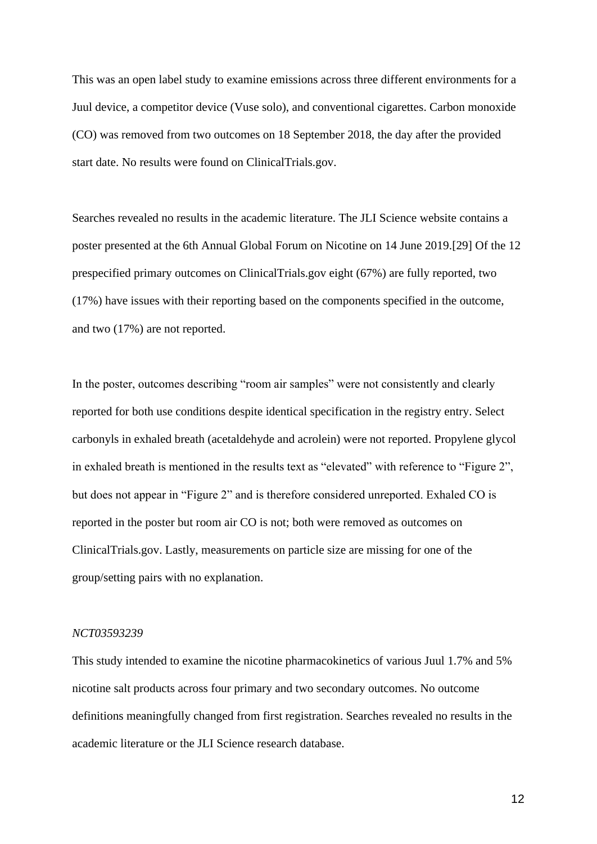This was an open label study to examine emissions across three different environments for a Juul device, a competitor device (Vuse solo), and conventional cigarettes. Carbon monoxide (CO) was removed from two outcomes on 18 September 2018, the day after the provided start date. No results were found on ClinicalTrials.gov.

Searches revealed no results in the academic literature. The JLI Science website contains a poster presented at the 6th Annual Global Forum on Nicotine on 14 June 2019[.\[29\]](https://paperpile.com/c/Jq9uH1/HuI2J) Of the 12 prespecified primary outcomes on ClinicalTrials.gov eight (67%) are fully reported, two (17%) have issues with their reporting based on the components specified in the outcome, and two (17%) are not reported.

In the poster, outcomes describing "room air samples" were not consistently and clearly reported for both use conditions despite identical specification in the registry entry. Select carbonyls in exhaled breath (acetaldehyde and acrolein) were not reported. Propylene glycol in exhaled breath is mentioned in the results text as "elevated" with reference to "Figure 2", but does not appear in "Figure 2" and is therefore considered unreported. Exhaled CO is reported in the poster but room air CO is not; both were removed as outcomes on ClinicalTrials.gov. Lastly, measurements on particle size are missing for one of the group/setting pairs with no explanation.

#### *NCT03593239*

This study intended to examine the nicotine pharmacokinetics of various Juul 1.7% and 5% nicotine salt products across four primary and two secondary outcomes. No outcome definitions meaningfully changed from first registration. Searches revealed no results in the academic literature or the JLI Science research database.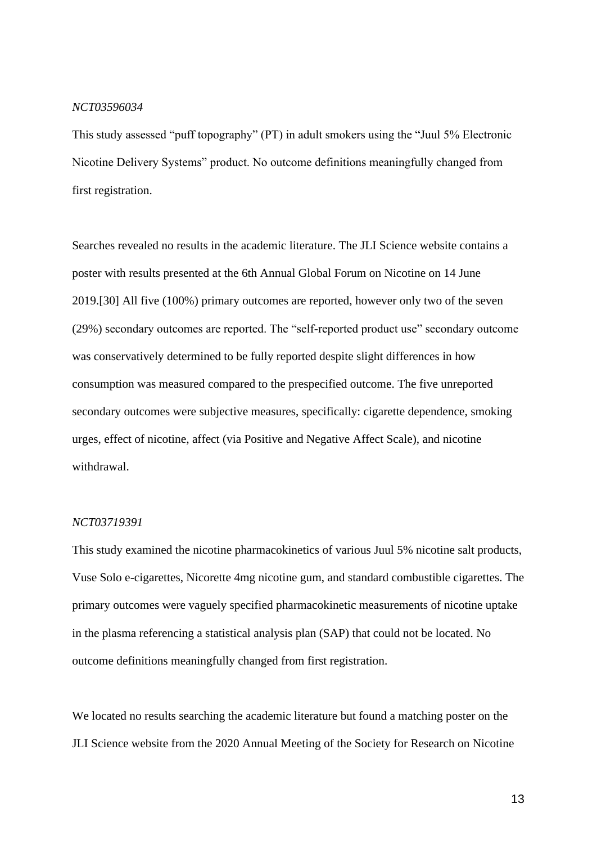#### *NCT03596034*

This study assessed "puff topography" (PT) in adult smokers using the "Juul 5% Electronic Nicotine Delivery Systems" product. No outcome definitions meaningfully changed from first registration.

Searches revealed no results in the academic literature. The JLI Science website contains a poster with results presented at the 6th Annual Global Forum on Nicotine on 14 June 2019[.\[30\]](https://paperpile.com/c/Jq9uH1/gDljk) All five (100%) primary outcomes are reported, however only two of the seven (29%) secondary outcomes are reported. The "self-reported product use" secondary outcome was conservatively determined to be fully reported despite slight differences in how consumption was measured compared to the prespecified outcome. The five unreported secondary outcomes were subjective measures, specifically: cigarette dependence, smoking urges, effect of nicotine, affect (via Positive and Negative Affect Scale), and nicotine withdrawal.

#### *NCT03719391*

This study examined the nicotine pharmacokinetics of various Juul 5% nicotine salt products, Vuse Solo e-cigarettes, Nicorette 4mg nicotine gum, and standard combustible cigarettes. The primary outcomes were vaguely specified pharmacokinetic measurements of nicotine uptake in the plasma referencing a statistical analysis plan (SAP) that could not be located. No outcome definitions meaningfully changed from first registration.

We located no results searching the academic literature but found a matching poster on the JLI Science website from the 2020 Annual Meeting of the Society for Research on Nicotine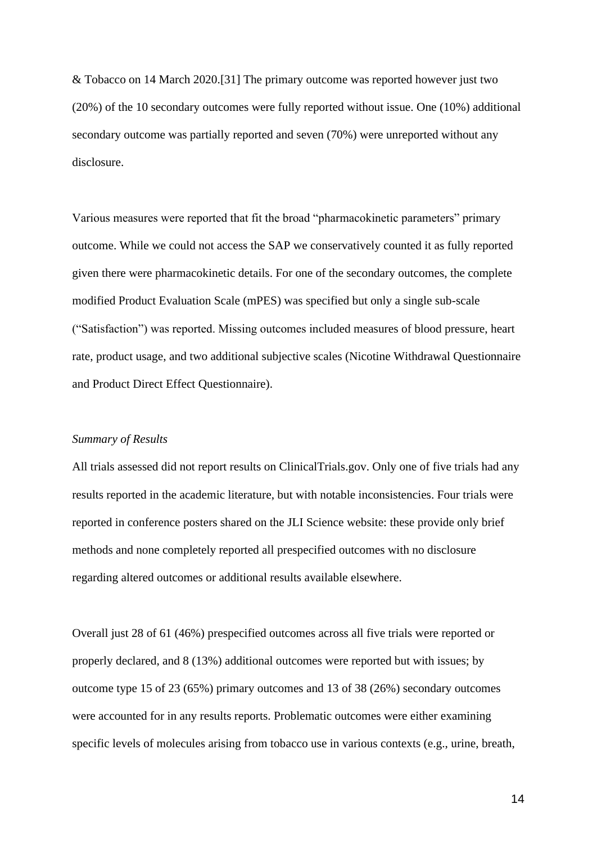& Tobacco on 14 March 2020[.\[31\]](https://paperpile.com/c/Jq9uH1/unMqL) The primary outcome was reported however just two (20%) of the 10 secondary outcomes were fully reported without issue. One (10%) additional secondary outcome was partially reported and seven (70%) were unreported without any disclosure.

Various measures were reported that fit the broad "pharmacokinetic parameters" primary outcome. While we could not access the SAP we conservatively counted it as fully reported given there were pharmacokinetic details. For one of the secondary outcomes, the complete modified Product Evaluation Scale (mPES) was specified but only a single sub-scale ("Satisfaction") was reported. Missing outcomes included measures of blood pressure, heart rate, product usage, and two additional subjective scales (Nicotine Withdrawal Questionnaire and Product Direct Effect Questionnaire).

#### *Summary of Results*

All trials assessed did not report results on ClinicalTrials.gov. Only one of five trials had any results reported in the academic literature, but with notable inconsistencies. Four trials were reported in conference posters shared on the JLI Science website: these provide only brief methods and none completely reported all prespecified outcomes with no disclosure regarding altered outcomes or additional results available elsewhere.

Overall just 28 of 61 (46%) prespecified outcomes across all five trials were reported or properly declared, and 8 (13%) additional outcomes were reported but with issues; by outcome type 15 of 23 (65%) primary outcomes and 13 of 38 (26%) secondary outcomes were accounted for in any results reports. Problematic outcomes were either examining specific levels of molecules arising from tobacco use in various contexts (e.g., urine, breath,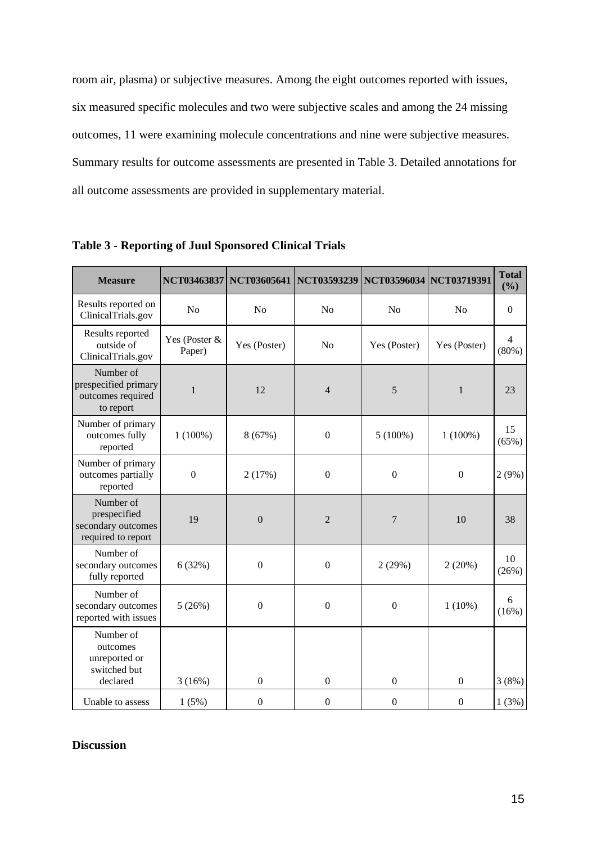room air, plasma) or subjective measures. Among the eight outcomes reported with issues, six measured specific molecules and two were subjective scales and among the 24 missing outcomes, 11 were examining molecule concentrations and nine were subjective measures. Summary results for outcome assessments are presented in Table 3. Detailed annotations for all outcome assessments are provided in supplementary material.

| <b>Measure</b>                                                        |                         | NCT03463837 NCT03605641 NCT03593239 |                  | NCT03596034 NCT03719391 |                  | <b>Total</b><br>(%)     |
|-----------------------------------------------------------------------|-------------------------|-------------------------------------|------------------|-------------------------|------------------|-------------------------|
| Results reported on<br>ClinicalTrials.gov                             | N <sub>0</sub>          | No                                  | N <sub>o</sub>   | N <sub>o</sub>          | N <sub>0</sub>   | $\boldsymbol{0}$        |
| Results reported<br>outside of<br>ClinicalTrials.gov                  | Yes (Poster &<br>Paper) | Yes (Poster)                        | N <sub>o</sub>   | Yes (Poster)            | Yes (Poster)     | $\overline{4}$<br>(80%) |
| Number of<br>prespecified primary<br>outcomes required<br>to report   | 1                       | 12                                  | $\overline{4}$   | 5                       | $\mathbf{1}$     | 23                      |
| Number of primary<br>outcomes fully<br>reported                       | $1(100\%)$              | 8 (67%)                             | $\boldsymbol{0}$ | $5(100\%)$              | $1(100\%)$       | 15<br>(65%)             |
| Number of primary<br>outcomes partially<br>reported                   | $\boldsymbol{0}$        | 2(17%)                              | $\mathbf{0}$     | $\boldsymbol{0}$        | $\mathbf{0}$     | 2(9%)                   |
| Number of<br>prespecified<br>secondary outcomes<br>required to report | 19                      | $\mathbf{0}$                        | $\overline{2}$   | $\overline{7}$          | 10               | 38                      |
| Number of<br>secondary outcomes<br>fully reported                     | 6(32%)                  | $\boldsymbol{0}$                    | $\boldsymbol{0}$ | 2(29%)                  | 2(20%)           | 10<br>(26%)             |
| Number of<br>secondary outcomes<br>reported with issues               | 5(26%)                  | $\boldsymbol{0}$                    | $\boldsymbol{0}$ | $\boldsymbol{0}$        | $1(10\%)$        | 6<br>(16%)              |
| Number of<br>outcomes<br>unreported or<br>switched but                |                         |                                     |                  |                         |                  |                         |
| declared                                                              | 3(16%)                  | $\boldsymbol{0}$                    | $\mathbf{0}$     | $\boldsymbol{0}$        | $\mathbf{0}$     | 3(8%)                   |
| Unable to assess                                                      | 1(5%)                   | $\boldsymbol{0}$                    | $\boldsymbol{0}$ | $\boldsymbol{0}$        | $\boldsymbol{0}$ | 1(3%)                   |

**Table 3 - Reporting of Juul Sponsored Clinical Trials**

# **Discussion**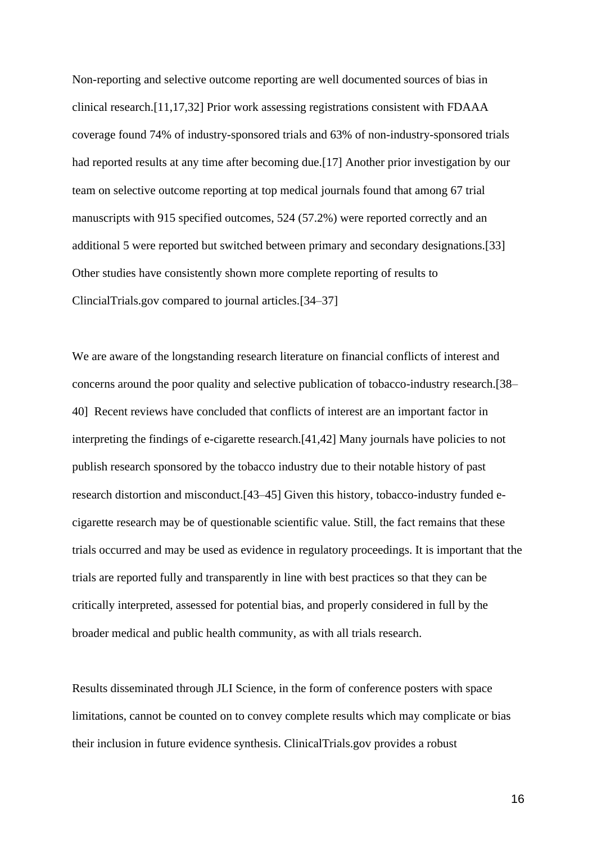Non-reporting and selective outcome reporting are well documented sources of bias in clinical research[.\[11,17,32\]](https://paperpile.com/c/Jq9uH1/7pnNM+R9fp+t8nCM) Prior work assessing registrations consistent with FDAAA coverage found 74% of industry-sponsored trials and 63% of non-industry-sponsored trials had reported results at any time after becoming due[.\[17\]](https://paperpile.com/c/Jq9uH1/R9fp) Another prior investigation by our team on selective outcome reporting at top medical journals found that among 67 trial manuscripts with 915 specified outcomes, 524 (57.2%) were reported correctly and an additional 5 were reported but switched between primary and secondary designations[.\[33\]](https://paperpile.com/c/Jq9uH1/nME9U) Other studies have consistently shown more complete reporting of results to ClincialTrials.gov compared to journal articles[.\[34–37\]](https://paperpile.com/c/Jq9uH1/yomVw+3wFV6+lKXac+GobfO)

We are aware of the longstanding research literature on financial conflicts of interest and concerns around the poor quality and selective publication of tobacco-industry research[.\[38–](https://paperpile.com/c/Jq9uH1/m7Ide+lZsYb+4miS7) [40\]](https://paperpile.com/c/Jq9uH1/m7Ide+lZsYb+4miS7) Recent reviews have concluded that conflicts of interest are an important factor in interpreting the findings of e-cigarette research[.\[41,42\]](https://paperpile.com/c/Jq9uH1/UKyC6+ebpry) Many journals have policies to not publish research sponsored by the tobacco industry due to their notable history of past research distortion and misconduct[.\[43–45\]](https://paperpile.com/c/Jq9uH1/jmF8H+ZzuB4+vpHUT) Given this history, tobacco-industry funded ecigarette research may be of questionable scientific value. Still, the fact remains that these trials occurred and may be used as evidence in regulatory proceedings. It is important that the trials are reported fully and transparently in line with best practices so that they can be critically interpreted, assessed for potential bias, and properly considered in full by the broader medical and public health community, as with all trials research.

Results disseminated through JLI Science, in the form of conference posters with space limitations, cannot be counted on to convey complete results which may complicate or bias their inclusion in future evidence synthesis. ClinicalTrials.gov provides a robust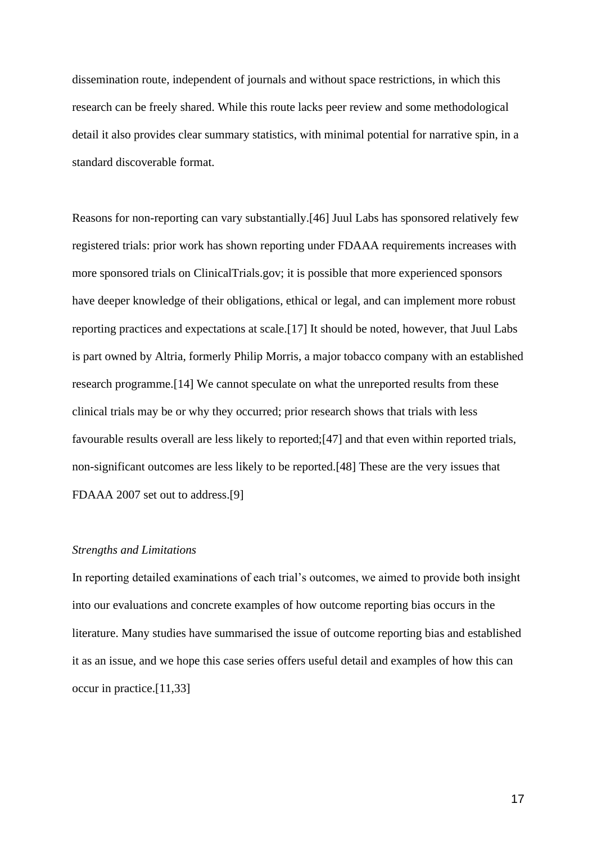dissemination route, independent of journals and without space restrictions, in which this research can be freely shared. While this route lacks peer review and some methodological detail it also provides clear summary statistics, with minimal potential for narrative spin, in a standard discoverable format.

Reasons for non-reporting can vary substantially[.\[46\]](https://paperpile.com/c/Jq9uH1/a4K77) Juul Labs has sponsored relatively few registered trials: prior work has shown reporting under FDAAA requirements increases with more sponsored trials on ClinicalTrials.gov; it is possible that more experienced sponsors have deeper knowledge of their obligations, ethical or legal, and can implement more robust reporting practices and expectations at scale[.\[17\]](https://paperpile.com/c/Jq9uH1/R9fp) It should be noted, however, that Juul Labs is part owned by Altria, formerly Philip Morris, a major tobacco company with an established research programme[.\[14\]](https://paperpile.com/c/Jq9uH1/76mlU) We cannot speculate on what the unreported results from these clinical trials may be or why they occurred; prior research shows that trials with less favourable results overall are less likely to reported[;\[47\]](https://paperpile.com/c/Jq9uH1/QRedh) and that even within reported trials, non-significant outcomes are less likely to be reported[.\[48\]](https://paperpile.com/c/Jq9uH1/FT6dU) These are the very issues that FDAAA 2007 set out to address[.\[9\]](https://paperpile.com/c/Jq9uH1/sOw55)

## *Strengths and Limitations*

In reporting detailed examinations of each trial's outcomes, we aimed to provide both insight into our evaluations and concrete examples of how outcome reporting bias occurs in the literature. Many studies have summarised the issue of outcome reporting bias and established it as an issue, and we hope this case series offers useful detail and examples of how this can occur in practice[.\[11,33\]](https://paperpile.com/c/Jq9uH1/nME9U+7pnNM)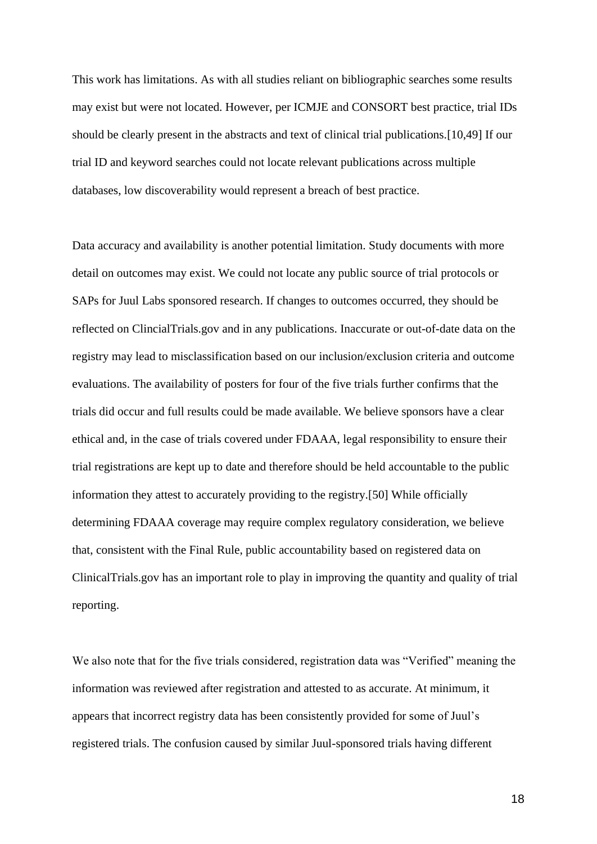This work has limitations. As with all studies reliant on bibliographic searches some results may exist but were not located. However, per ICMJE and CONSORT best practice, trial IDs should be clearly present in the abstracts and text of clinical trial publications[.\[10,49\]](https://paperpile.com/c/Jq9uH1/NZQxR+oUIUm) If our trial ID and keyword searches could not locate relevant publications across multiple databases, low discoverability would represent a breach of best practice.

Data accuracy and availability is another potential limitation. Study documents with more detail on outcomes may exist. We could not locate any public source of trial protocols or SAPs for Juul Labs sponsored research. If changes to outcomes occurred, they should be reflected on ClincialTrials.gov and in any publications. Inaccurate or out-of-date data on the registry may lead to misclassification based on our inclusion/exclusion criteria and outcome evaluations. The availability of posters for four of the five trials further confirms that the trials did occur and full results could be made available. We believe sponsors have a clear ethical and, in the case of trials covered under FDAAA, legal responsibility to ensure their trial registrations are kept up to date and therefore should be held accountable to the public information they attest to accurately providing to the registry[.\[50\]](https://paperpile.com/c/Jq9uH1/Bwx8e) While officially determining FDAAA coverage may require complex regulatory consideration, we believe that, consistent with the Final Rule, public accountability based on registered data on ClinicalTrials.gov has an important role to play in improving the quantity and quality of trial reporting.

We also note that for the five trials considered, registration data was "Verified" meaning the information was reviewed after registration and attested to as accurate. At minimum, it appears that incorrect registry data has been consistently provided for some of Juul's registered trials. The confusion caused by similar Juul-sponsored trials having different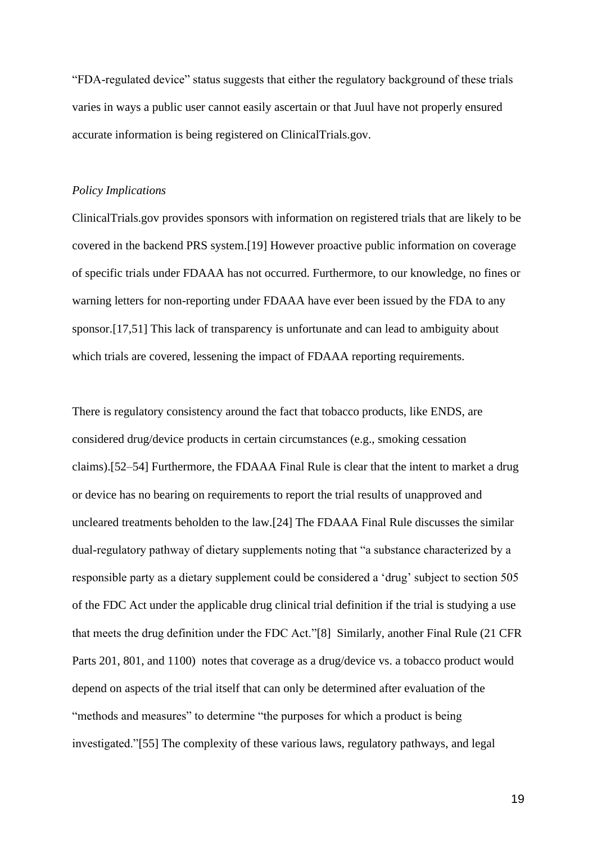"FDA-regulated device" status suggests that either the regulatory background of these trials varies in ways a public user cannot easily ascertain or that Juul have not properly ensured accurate information is being registered on ClinicalTrials.gov.

#### *Policy Implications*

ClinicalTrials.gov provides sponsors with information on registered trials that are likely to be covered in the backend PRS system[.\[19\]](https://paperpile.com/c/Jq9uH1/zOqbf) However proactive public information on coverage of specific trials under FDAAA has not occurred. Furthermore, to our knowledge, no fines or warning letters for non-reporting under FDAAA have ever been issued by the FDA to any sponsor[.\[17,51\]](https://paperpile.com/c/Jq9uH1/R9fp+SIy1V) This lack of transparency is unfortunate and can lead to ambiguity about which trials are covered, lessening the impact of FDAAA reporting requirements.

There is regulatory consistency around the fact that tobacco products, like ENDS, are considered drug/device products in certain circumstances (e.g., smoking cessation claims)[.\[52–54\]](https://paperpile.com/c/Jq9uH1/m3uk+DQ22+fwMA) Furthermore, the FDAAA Final Rule is clear that the intent to market a drug or device has no bearing on requirements to report the trial results of unapproved and uncleared treatments beholden to the law[.\[24\]](https://paperpile.com/c/Jq9uH1/PlND4) The FDAAA Final Rule discusses the similar dual-regulatory pathway of dietary supplements noting that "a substance characterized by a responsible party as a dietary supplement could be considered a 'drug' subject to section 505 of the FDC Act under the applicable drug clinical trial definition if the trial is studying a use that meets the drug definition under the FDC Act.["\[8\]](https://paperpile.com/c/Jq9uH1/Ko0N) Similarly, another Final Rule (21 CFR Parts 201, 801, and 1100) notes that coverage as a drug/device vs. a tobacco product would depend on aspects of the trial itself that can only be determined after evaluation of the "methods and measures" to determine "the purposes for which a product is being investigated.["\[55\]](https://paperpile.com/c/Jq9uH1/iIAA) The complexity of these various laws, regulatory pathways, and legal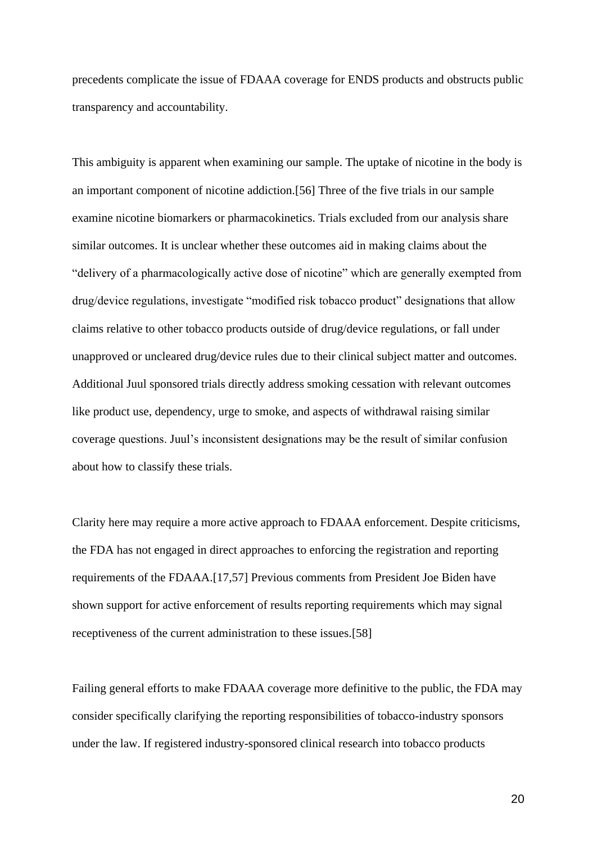precedents complicate the issue of FDAAA coverage for ENDS products and obstructs public transparency and accountability.

This ambiguity is apparent when examining our sample. The uptake of nicotine in the body is an important component of nicotine addiction[.\[56\]](https://paperpile.com/c/Jq9uH1/T3cC) Three of the five trials in our sample examine nicotine biomarkers or pharmacokinetics. Trials excluded from our analysis share similar outcomes. It is unclear whether these outcomes aid in making claims about the "delivery of a pharmacologically active dose of nicotine" which are generally exempted from drug/device regulations, investigate "modified risk tobacco product" designations that allow claims relative to other tobacco products outside of drug/device regulations, or fall under unapproved or uncleared drug/device rules due to their clinical subject matter and outcomes. Additional Juul sponsored trials directly address smoking cessation with relevant outcomes like product use, dependency, urge to smoke, and aspects of withdrawal raising similar coverage questions. Juul's inconsistent designations may be the result of similar confusion about how to classify these trials.

Clarity here may require a more active approach to FDAAA enforcement. Despite criticisms, the FDA has not engaged in direct approaches to enforcing the registration and reporting requirements of the FDAAA[.\[17,57\]](https://paperpile.com/c/Jq9uH1/R9fp+SrPF) Previous comments from President Joe Biden have shown support for active enforcement of results reporting requirements which may signal receptiveness of the current administration to these issues[.\[58\]](https://paperpile.com/c/Jq9uH1/sutHa)

Failing general efforts to make FDAAA coverage more definitive to the public, the FDA may consider specifically clarifying the reporting responsibilities of tobacco-industry sponsors under the law. If registered industry-sponsored clinical research into tobacco products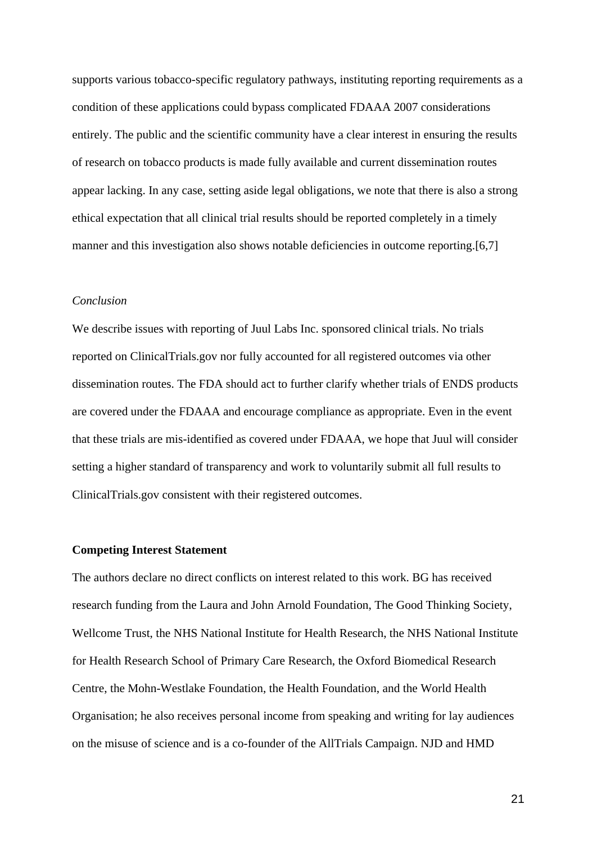supports various tobacco-specific regulatory pathways, instituting reporting requirements as a condition of these applications could bypass complicated FDAAA 2007 considerations entirely. The public and the scientific community have a clear interest in ensuring the results of research on tobacco products is made fully available and current dissemination routes appear lacking. In any case, setting aside legal obligations, we note that there is also a strong ethical expectation that all clinical trial results should be reported completely in a timely manner and this investigation also shows notable deficiencies in outcome reporting[.\[6,7\]](https://paperpile.com/c/Jq9uH1/V3x6o+VsrI7)

# *Conclusion*

We describe issues with reporting of Juul Labs Inc. sponsored clinical trials. No trials reported on ClinicalTrials.gov nor fully accounted for all registered outcomes via other dissemination routes. The FDA should act to further clarify whether trials of ENDS products are covered under the FDAAA and encourage compliance as appropriate. Even in the event that these trials are mis-identified as covered under FDAAA, we hope that Juul will consider setting a higher standard of transparency and work to voluntarily submit all full results to ClinicalTrials.gov consistent with their registered outcomes.

#### **Competing Interest Statement**

The authors declare no direct conflicts on interest related to this work. BG has received research funding from the Laura and John Arnold Foundation, The Good Thinking Society, Wellcome Trust, the NHS National Institute for Health Research, the NHS National Institute for Health Research School of Primary Care Research, the Oxford Biomedical Research Centre, the Mohn-Westlake Foundation, the Health Foundation, and the World Health Organisation; he also receives personal income from speaking and writing for lay audiences on the misuse of science and is a co-founder of the AllTrials Campaign. NJD and HMD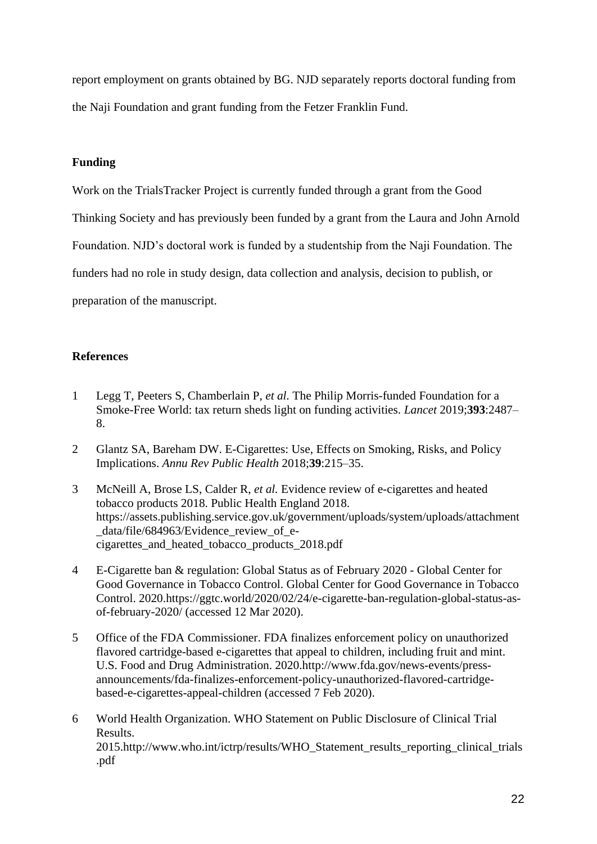report employment on grants obtained by BG. NJD separately reports doctoral funding from the Naji Foundation and grant funding from the Fetzer Franklin Fund.

## **Funding**

Work on the TrialsTracker Project is currently funded through a grant from the Good

Thinking Society and has previously been funded by a grant from the Laura and John Arnold

Foundation. NJD's doctoral work is funded by a studentship from the Naji Foundation. The

funders had no role in study design, data collection and analysis, decision to publish, or

preparation of the manuscript.

## **References**

- 1 [Legg T, Peeters S, Chamberlain P,](http://paperpile.com/b/Jq9uH1/9AM9r) *[et al.](http://paperpile.com/b/Jq9uH1/9AM9r)* [The Philip Morris-funded Foundation for a](http://paperpile.com/b/Jq9uH1/9AM9r)  [Smoke-Free World: tax return sheds light on funding activities.](http://paperpile.com/b/Jq9uH1/9AM9r) *[Lancet](http://paperpile.com/b/Jq9uH1/9AM9r)* [2019;](http://paperpile.com/b/Jq9uH1/9AM9r)**[393](http://paperpile.com/b/Jq9uH1/9AM9r)**[:2487–](http://paperpile.com/b/Jq9uH1/9AM9r) [8.](http://paperpile.com/b/Jq9uH1/9AM9r)
- 2 [Glantz SA, Bareham DW. E-Cigarettes: Use, Effects on Smoking, Risks, and Policy](http://paperpile.com/b/Jq9uH1/X5nr0)  [Implications.](http://paperpile.com/b/Jq9uH1/X5nr0) *[Annu Rev Public Health](http://paperpile.com/b/Jq9uH1/X5nr0)* [2018;](http://paperpile.com/b/Jq9uH1/X5nr0)**[39](http://paperpile.com/b/Jq9uH1/X5nr0)**[:215–35.](http://paperpile.com/b/Jq9uH1/X5nr0)
- 3 [McNeill A, Brose LS, Calder R,](http://paperpile.com/b/Jq9uH1/xIgxP) *[et al.](http://paperpile.com/b/Jq9uH1/xIgxP)* [Evidence review of e-cigarettes and heated](http://paperpile.com/b/Jq9uH1/xIgxP)  [tobacco products 2018. Public Health England 2018.](http://paperpile.com/b/Jq9uH1/xIgxP)  [https://assets.publishing.service.gov.uk/government/uploads/system/uploads/attachment](https://assets.publishing.service.gov.uk/government/uploads/system/uploads/attachment_data/file/684963/Evidence_review_of_e-cigarettes_and_heated_tobacco_products_2018.pdf) [\\_data/file/684963/Evidence\\_review\\_of\\_e](https://assets.publishing.service.gov.uk/government/uploads/system/uploads/attachment_data/file/684963/Evidence_review_of_e-cigarettes_and_heated_tobacco_products_2018.pdf)[cigarettes\\_and\\_heated\\_tobacco\\_products\\_2018.pdf](https://assets.publishing.service.gov.uk/government/uploads/system/uploads/attachment_data/file/684963/Evidence_review_of_e-cigarettes_and_heated_tobacco_products_2018.pdf)
- 4 [E-Cigarette ban & regulation: Global Status as of February 2020 -](http://paperpile.com/b/Jq9uH1/xAgKo) Global Center for [Good Governance in Tobacco Control. Global Center for Good Governance in Tobacco](http://paperpile.com/b/Jq9uH1/xAgKo)  [Control. 2020.](http://paperpile.com/b/Jq9uH1/xAgKo)[https://ggtc.world/2020/02/24/e-cigarette-ban-regulation-global-status-as](https://ggtc.world/2020/02/24/e-cigarette-ban-regulation-global-status-as-of-february-2020/)[of-february-2020/](https://ggtc.world/2020/02/24/e-cigarette-ban-regulation-global-status-as-of-february-2020/) [\(accessed 12 Mar 2020\).](http://paperpile.com/b/Jq9uH1/xAgKo)
- 5 [Office of the FDA Commissioner. FDA finalizes enforcement policy on unauthorized](http://paperpile.com/b/Jq9uH1/gsrop)  [flavored cartridge-based e-cigarettes that appeal to children, including fruit and mint.](http://paperpile.com/b/Jq9uH1/gsrop)  [U.S. Food and Drug Administration. 2020.](http://paperpile.com/b/Jq9uH1/gsrop)[http://www.fda.gov/news-events/press](http://www.fda.gov/news-events/press-announcements/fda-finalizes-enforcement-policy-unauthorized-flavored-cartridge-based-e-cigarettes-appeal-children)[announcements/fda-finalizes-enforcement-policy-unauthorized-flavored-cartridge](http://www.fda.gov/news-events/press-announcements/fda-finalizes-enforcement-policy-unauthorized-flavored-cartridge-based-e-cigarettes-appeal-children)[based-e-cigarettes-appeal-children](http://www.fda.gov/news-events/press-announcements/fda-finalizes-enforcement-policy-unauthorized-flavored-cartridge-based-e-cigarettes-appeal-children) [\(accessed 7 Feb 2020\).](http://paperpile.com/b/Jq9uH1/gsrop)
- 6 [World Health Organization. WHO Statement on Public Disclosure of Clinical Trial](http://paperpile.com/b/Jq9uH1/V3x6o)  [Results.](http://paperpile.com/b/Jq9uH1/V3x6o)  [2015.](http://paperpile.com/b/Jq9uH1/V3x6o)[http://www.who.int/ictrp/results/WHO\\_Statement\\_results\\_reporting\\_clinical\\_trials](http://www.who.int/ictrp/results/WHO_Statement_results_reporting_clinical_trials.pdf) [.pdf](http://www.who.int/ictrp/results/WHO_Statement_results_reporting_clinical_trials.pdf)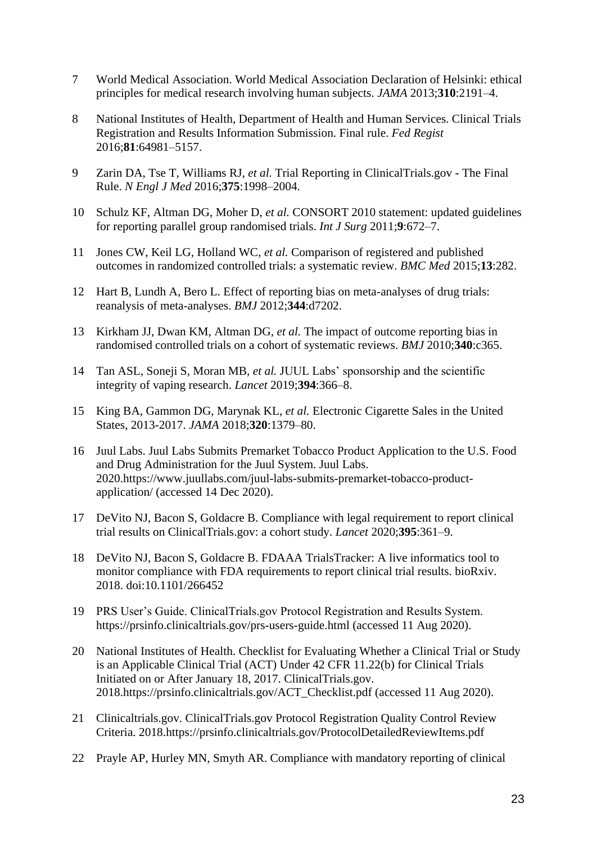- 7 [World Medical Association. World Medical Association Declaration of Helsinki: ethical](http://paperpile.com/b/Jq9uH1/VsrI7)  [principles for medical research involving human subjects.](http://paperpile.com/b/Jq9uH1/VsrI7) *[JAMA](http://paperpile.com/b/Jq9uH1/VsrI7)* [2013;](http://paperpile.com/b/Jq9uH1/VsrI7)**[310](http://paperpile.com/b/Jq9uH1/VsrI7)**[:2191–4.](http://paperpile.com/b/Jq9uH1/VsrI7)
- 8 [National Institutes of Health, Department of Health and Human Services. Clinical Trials](http://paperpile.com/b/Jq9uH1/Ko0N)  [Registration and Results Information Submission. Final rule.](http://paperpile.com/b/Jq9uH1/Ko0N) *[Fed Regist](http://paperpile.com/b/Jq9uH1/Ko0N)* [2016;](http://paperpile.com/b/Jq9uH1/Ko0N)**[81](http://paperpile.com/b/Jq9uH1/Ko0N)**[:64981–5157.](http://paperpile.com/b/Jq9uH1/Ko0N)
- 9 [Zarin DA, Tse T, Williams RJ,](http://paperpile.com/b/Jq9uH1/sOw55) *[et al.](http://paperpile.com/b/Jq9uH1/sOw55)* [Trial Reporting in ClinicalTrials.gov -](http://paperpile.com/b/Jq9uH1/sOw55) The Final [Rule.](http://paperpile.com/b/Jq9uH1/sOw55) *[N Engl J Med](http://paperpile.com/b/Jq9uH1/sOw55)* [2016;](http://paperpile.com/b/Jq9uH1/sOw55)**[375](http://paperpile.com/b/Jq9uH1/sOw55)**[:1998–2004.](http://paperpile.com/b/Jq9uH1/sOw55)
- 10 [Schulz KF, Altman DG, Moher D,](http://paperpile.com/b/Jq9uH1/NZQxR) *[et al.](http://paperpile.com/b/Jq9uH1/NZQxR)* [CONSORT 2010 statement: updated guidelines](http://paperpile.com/b/Jq9uH1/NZQxR)  [for reporting parallel group randomised trials.](http://paperpile.com/b/Jq9uH1/NZQxR) *[Int J Surg](http://paperpile.com/b/Jq9uH1/NZQxR)* [2011;](http://paperpile.com/b/Jq9uH1/NZQxR)**[9](http://paperpile.com/b/Jq9uH1/NZQxR)**[:672–7.](http://paperpile.com/b/Jq9uH1/NZQxR)
- 11 [Jones CW, Keil LG, Holland WC,](http://paperpile.com/b/Jq9uH1/7pnNM) *[et al.](http://paperpile.com/b/Jq9uH1/7pnNM)* [Comparison of registered and published](http://paperpile.com/b/Jq9uH1/7pnNM)  [outcomes in randomized controlled trials: a systematic review.](http://paperpile.com/b/Jq9uH1/7pnNM) *[BMC Med](http://paperpile.com/b/Jq9uH1/7pnNM)* [2015;](http://paperpile.com/b/Jq9uH1/7pnNM)**[13](http://paperpile.com/b/Jq9uH1/7pnNM)**[:282.](http://paperpile.com/b/Jq9uH1/7pnNM)
- 12 [Hart B, Lundh A, Bero L. Effect of reporting bias on meta-analyses of drug trials:](http://paperpile.com/b/Jq9uH1/JH5m9)  [reanalysis of meta-analyses.](http://paperpile.com/b/Jq9uH1/JH5m9) *[BMJ](http://paperpile.com/b/Jq9uH1/JH5m9)* [2012;](http://paperpile.com/b/Jq9uH1/JH5m9)**[344](http://paperpile.com/b/Jq9uH1/JH5m9)**[:d7202.](http://paperpile.com/b/Jq9uH1/JH5m9)
- 13 [Kirkham JJ, Dwan KM, Altman DG,](http://paperpile.com/b/Jq9uH1/lqguo) *[et al.](http://paperpile.com/b/Jq9uH1/lqguo)* [The impact of outcome reporting bias in](http://paperpile.com/b/Jq9uH1/lqguo)  [randomised controlled trials on a cohort of systematic reviews.](http://paperpile.com/b/Jq9uH1/lqguo) *[BMJ](http://paperpile.com/b/Jq9uH1/lqguo)* [2010;](http://paperpile.com/b/Jq9uH1/lqguo)**[340](http://paperpile.com/b/Jq9uH1/lqguo)**[:c365.](http://paperpile.com/b/Jq9uH1/lqguo)
- 14 [Tan ASL, Soneji S,](http://paperpile.com/b/Jq9uH1/76mlU) Moran MB, *[et al.](http://paperpile.com/b/Jq9uH1/76mlU)* [JUUL Labs' sponsorship and the scientific](http://paperpile.com/b/Jq9uH1/76mlU)  [integrity of vaping research.](http://paperpile.com/b/Jq9uH1/76mlU) *[Lancet](http://paperpile.com/b/Jq9uH1/76mlU)* [2019;](http://paperpile.com/b/Jq9uH1/76mlU)**[394](http://paperpile.com/b/Jq9uH1/76mlU)**[:366–8.](http://paperpile.com/b/Jq9uH1/76mlU)
- 15 [King BA, Gammon DG, Marynak KL,](http://paperpile.com/b/Jq9uH1/2HGaj) *[et al.](http://paperpile.com/b/Jq9uH1/2HGaj)* [Electronic Cigarette Sales in the United](http://paperpile.com/b/Jq9uH1/2HGaj)  [States, 2013-2017.](http://paperpile.com/b/Jq9uH1/2HGaj) *[JAMA](http://paperpile.com/b/Jq9uH1/2HGaj)* [2018;](http://paperpile.com/b/Jq9uH1/2HGaj)**[320](http://paperpile.com/b/Jq9uH1/2HGaj)**[:1379–80.](http://paperpile.com/b/Jq9uH1/2HGaj)
- 16 [Juul Labs. Juul Labs Submits Premarket Tobacco Product Application to the U.S. Food](http://paperpile.com/b/Jq9uH1/0gi6L)  [and Drug Administration for the Juul System. Juul Labs.](http://paperpile.com/b/Jq9uH1/0gi6L)  [2020.](http://paperpile.com/b/Jq9uH1/0gi6L)[https://www.juullabs.com/juul-labs-submits-premarket-tobacco-product](https://www.juullabs.com/juul-labs-submits-premarket-tobacco-product-application/)[application/](https://www.juullabs.com/juul-labs-submits-premarket-tobacco-product-application/) [\(accessed 14 Dec 2020\).](http://paperpile.com/b/Jq9uH1/0gi6L)
- 17 [DeVito NJ, Bacon S, Goldacre B. Compliance with](http://paperpile.com/b/Jq9uH1/R9fp) legal requirement to report clinical [trial results on ClinicalTrials.gov: a cohort study.](http://paperpile.com/b/Jq9uH1/R9fp) *[Lancet](http://paperpile.com/b/Jq9uH1/R9fp)* [2020;](http://paperpile.com/b/Jq9uH1/R9fp)**[395](http://paperpile.com/b/Jq9uH1/R9fp)**[:361–9.](http://paperpile.com/b/Jq9uH1/R9fp)
- 18 [DeVito NJ, Bacon S, Goldacre B. FDAAA TrialsTracker: A live informatics tool to](http://paperpile.com/b/Jq9uH1/xYsj4)  [monitor compliance with FDA requirements to report clinical trial results. bioRxiv.](http://paperpile.com/b/Jq9uH1/xYsj4)  [2018. doi:](http://paperpile.com/b/Jq9uH1/xYsj4)[10.1101/266452](http://dx.doi.org/10.1101/266452)
- 19 [PRS User's Guide. ClinicalTrials.gov Protocol Registration and Results System.](http://paperpile.com/b/Jq9uH1/zOqbf)  <https://prsinfo.clinicaltrials.gov/prs-users-guide.html> [\(accessed 11 Aug 2020\).](http://paperpile.com/b/Jq9uH1/zOqbf)
- 20 [National Institutes of Health. Checklist for Evaluating Whether a Clinical Trial or Study](http://paperpile.com/b/Jq9uH1/fqXF7)  [is an Applicable Clinical Trial \(ACT\) Under 42 CFR 11.22\(b\) for Clinical Trials](http://paperpile.com/b/Jq9uH1/fqXF7)  [Initiated on or After January 18, 2017. ClinicalTrials.gov.](http://paperpile.com/b/Jq9uH1/fqXF7)  [2018.](http://paperpile.com/b/Jq9uH1/fqXF7)[https://prsinfo.clinicaltrials.gov/ACT\\_Checklist.pdf](https://prsinfo.clinicaltrials.gov/ACT_Checklist.pdf) [\(accessed 11 Aug 2020\).](http://paperpile.com/b/Jq9uH1/fqXF7)
- 21 [Clinicaltrials.gov. ClinicalTrials.gov Protocol Registration Quality Control Review](http://paperpile.com/b/Jq9uH1/gZSmg)  [Criteria. 2018.](http://paperpile.com/b/Jq9uH1/gZSmg)<https://prsinfo.clinicaltrials.gov/ProtocolDetailedReviewItems.pdf>
- 22 [Prayle AP, Hurley MN, Smyth AR. Compliance with mandatory reporting of clinical](http://paperpile.com/b/Jq9uH1/IVQt)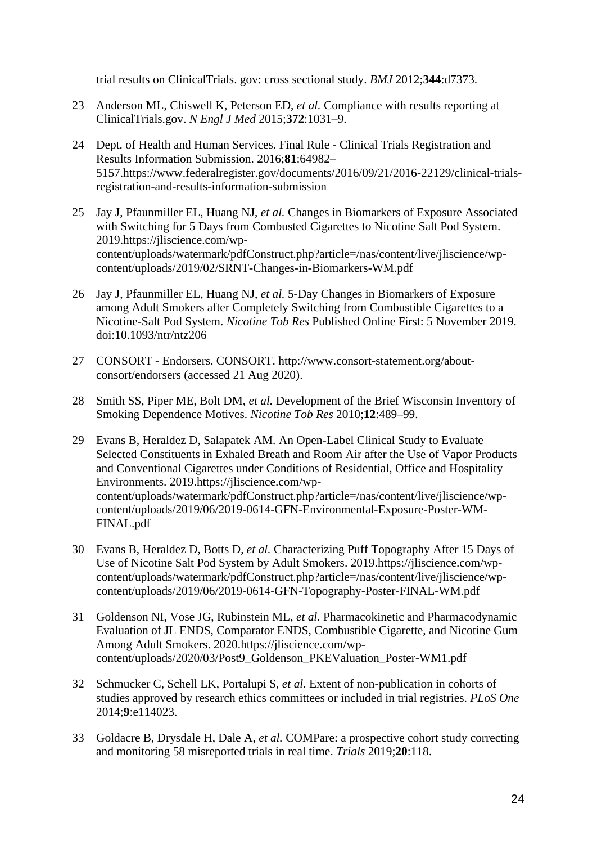[trial results on ClinicalTrials. gov: cross sectional study.](http://paperpile.com/b/Jq9uH1/IVQt) *[BMJ](http://paperpile.com/b/Jq9uH1/IVQt)* [2012;](http://paperpile.com/b/Jq9uH1/IVQt)**[344](http://paperpile.com/b/Jq9uH1/IVQt)**[:d7373.](http://paperpile.com/b/Jq9uH1/IVQt)

- 23 [Anderson ML, Chiswell K, Peterson ED,](http://paperpile.com/b/Jq9uH1/We4p) *[et al.](http://paperpile.com/b/Jq9uH1/We4p)* [Compliance with results reporting at](http://paperpile.com/b/Jq9uH1/We4p)  [ClinicalTrials.gov.](http://paperpile.com/b/Jq9uH1/We4p) *[N Engl J Med](http://paperpile.com/b/Jq9uH1/We4p)* [2015;](http://paperpile.com/b/Jq9uH1/We4p)**[372](http://paperpile.com/b/Jq9uH1/We4p)**[:1031–9.](http://paperpile.com/b/Jq9uH1/We4p)
- 24 [Dept. of Health and Human Services. Final Rule -](http://paperpile.com/b/Jq9uH1/PlND4) Clinical Trials Registration and [Results Information Submission. 2016;](http://paperpile.com/b/Jq9uH1/PlND4)**[81](http://paperpile.com/b/Jq9uH1/PlND4)**[:64982–](http://paperpile.com/b/Jq9uH1/PlND4) [5157.](http://paperpile.com/b/Jq9uH1/PlND4)[https://www.federalregister.gov/documents/2016/09/21/2016-22129/clinical-trials](https://www.federalregister.gov/documents/2016/09/21/2016-22129/clinical-trials-registration-and-results-information-submission)[registration-and-results-information-submission](https://www.federalregister.gov/documents/2016/09/21/2016-22129/clinical-trials-registration-and-results-information-submission)
- 25 [Jay J, Pfaunmiller EL, Huang NJ,](http://paperpile.com/b/Jq9uH1/sNhG6) *[et al.](http://paperpile.com/b/Jq9uH1/sNhG6)* [Changes in Biomarkers of Exposure Associated](http://paperpile.com/b/Jq9uH1/sNhG6)  [with Switching for 5 Days from Combusted Cigarettes to Nicotine Salt Pod System.](http://paperpile.com/b/Jq9uH1/sNhG6)  [2019.](http://paperpile.com/b/Jq9uH1/sNhG6)[https://jliscience.com/wp](https://jliscience.com/wp-content/uploads/watermark/pdfConstruct.php?article=/nas/content/live/jliscience/wp-content/uploads/2019/02/SRNT-Changes-in-Biomarkers-WM.pdf)[content/uploads/watermark/pdfConstruct.php?article=/nas/content/live/jliscience/wp](https://jliscience.com/wp-content/uploads/watermark/pdfConstruct.php?article=/nas/content/live/jliscience/wp-content/uploads/2019/02/SRNT-Changes-in-Biomarkers-WM.pdf)[content/uploads/2019/02/SRNT-Changes-in-Biomarkers-WM.pdf](https://jliscience.com/wp-content/uploads/watermark/pdfConstruct.php?article=/nas/content/live/jliscience/wp-content/uploads/2019/02/SRNT-Changes-in-Biomarkers-WM.pdf)
- 26 [Jay J, Pfaunmiller EL, Huang NJ,](http://paperpile.com/b/Jq9uH1/G6sf3) *[et al.](http://paperpile.com/b/Jq9uH1/G6sf3)* [5-Day Changes in Biomarkers of Exposure](http://paperpile.com/b/Jq9uH1/G6sf3)  [among Adult Smokers after Completely Switching from Combustible Cigarettes to a](http://paperpile.com/b/Jq9uH1/G6sf3)  [Nicotine-Salt Pod System.](http://paperpile.com/b/Jq9uH1/G6sf3) *[Nicotine Tob Res](http://paperpile.com/b/Jq9uH1/G6sf3)* [Published Online First: 5 November 2019.](http://paperpile.com/b/Jq9uH1/G6sf3)  [doi:](http://paperpile.com/b/Jq9uH1/G6sf3)[10.1093/ntr/ntz206](http://dx.doi.org/10.1093/ntr/ntz206)
- 27 CONSORT [Endorsers. CONSORT.](http://paperpile.com/b/Jq9uH1/BCtOn) [http://www.consort-statement.org/about](http://www.consort-statement.org/about-consort/endorsers)[consort/endorsers](http://www.consort-statement.org/about-consort/endorsers) [\(accessed 21 Aug 2020\).](http://paperpile.com/b/Jq9uH1/BCtOn)
- 28 [Smith SS, Piper ME, Bolt DM,](http://paperpile.com/b/Jq9uH1/S3cLU) *[et al.](http://paperpile.com/b/Jq9uH1/S3cLU)* [Development of the Brief Wisconsin Inventory of](http://paperpile.com/b/Jq9uH1/S3cLU)  [Smoking Dependence Motives.](http://paperpile.com/b/Jq9uH1/S3cLU) *[Nicotine Tob Res](http://paperpile.com/b/Jq9uH1/S3cLU)* [2010;](http://paperpile.com/b/Jq9uH1/S3cLU)**[12](http://paperpile.com/b/Jq9uH1/S3cLU)**[:489–99.](http://paperpile.com/b/Jq9uH1/S3cLU)
- 29 [Evans B, Heraldez D, Salapatek AM. An Open-Label Clinical Study to Evaluate](http://paperpile.com/b/Jq9uH1/HuI2J)  [Selected Constituents in Exhaled Breath and Room Air after the Use of Vapor Products](http://paperpile.com/b/Jq9uH1/HuI2J)  [and Conventional Cigarettes under Conditions of Residential, Office and Hospitality](http://paperpile.com/b/Jq9uH1/HuI2J)  [Environments. 2019.](http://paperpile.com/b/Jq9uH1/HuI2J)[https://jliscience.com/wp](https://jliscience.com/wp-content/uploads/watermark/pdfConstruct.php?article=/nas/content/live/jliscience/wp-content/uploads/2019/06/2019-0614-GFN-Environmental-Exposure-Poster-WM-FINAL.pdf)[content/uploads/watermark/pdfConstruct.php?article=/nas/content/live/jliscience/wp](https://jliscience.com/wp-content/uploads/watermark/pdfConstruct.php?article=/nas/content/live/jliscience/wp-content/uploads/2019/06/2019-0614-GFN-Environmental-Exposure-Poster-WM-FINAL.pdf)[content/uploads/2019/06/2019-0614-GFN-Environmental-Exposure-Poster-WM-](https://jliscience.com/wp-content/uploads/watermark/pdfConstruct.php?article=/nas/content/live/jliscience/wp-content/uploads/2019/06/2019-0614-GFN-Environmental-Exposure-Poster-WM-FINAL.pdf)[FINAL.pdf](https://jliscience.com/wp-content/uploads/watermark/pdfConstruct.php?article=/nas/content/live/jliscience/wp-content/uploads/2019/06/2019-0614-GFN-Environmental-Exposure-Poster-WM-FINAL.pdf)
- 30 [Evans B, Heraldez D, Botts D,](http://paperpile.com/b/Jq9uH1/gDljk) *[et al.](http://paperpile.com/b/Jq9uH1/gDljk)* [Characterizing Puff Topography After 15 Days of](http://paperpile.com/b/Jq9uH1/gDljk)  [Use of Nicotine Salt Pod System by Adult Smokers. 2019.](http://paperpile.com/b/Jq9uH1/gDljk)[https://jliscience.com/wp](https://jliscience.com/wp-content/uploads/watermark/pdfConstruct.php?article=/nas/content/live/jliscience/wp-content/uploads/2019/06/2019-0614-GFN-Topography-Poster-FINAL-WM.pdf)[content/uploads/watermark/pdfConstruct.php?article=/nas/content/live/jliscience/wp](https://jliscience.com/wp-content/uploads/watermark/pdfConstruct.php?article=/nas/content/live/jliscience/wp-content/uploads/2019/06/2019-0614-GFN-Topography-Poster-FINAL-WM.pdf)[content/uploads/2019/06/2019-0614-GFN-Topography-Poster-FINAL-WM.pdf](https://jliscience.com/wp-content/uploads/watermark/pdfConstruct.php?article=/nas/content/live/jliscience/wp-content/uploads/2019/06/2019-0614-GFN-Topography-Poster-FINAL-WM.pdf)
- 31 [Goldenson NI, Vose JG, Rubinstein ML,](http://paperpile.com/b/Jq9uH1/unMqL) *[et al.](http://paperpile.com/b/Jq9uH1/unMqL)* [Pharmacokinetic and Pharmacodynamic](http://paperpile.com/b/Jq9uH1/unMqL)  [Evaluation of JL ENDS, Comparator ENDS, Combustible Cigarette, and Nicotine Gum](http://paperpile.com/b/Jq9uH1/unMqL)  [Among Adult Smokers. 2020.](http://paperpile.com/b/Jq9uH1/unMqL)[https://jliscience.com/wp](https://jliscience.com/wp-content/uploads/2020/03/Post9_Goldenson_PKEValuation_Poster-WM1.pdf)[content/uploads/2020/03/Post9\\_Goldenson\\_PKEValuation\\_Poster-WM1.pdf](https://jliscience.com/wp-content/uploads/2020/03/Post9_Goldenson_PKEValuation_Poster-WM1.pdf)
- 32 [Schmucker C, Schell LK, Portalupi S,](http://paperpile.com/b/Jq9uH1/t8nCM) *[et al.](http://paperpile.com/b/Jq9uH1/t8nCM)* [Extent of non-publication in cohorts of](http://paperpile.com/b/Jq9uH1/t8nCM)  [studies approved by research ethics committees or included in trial registries.](http://paperpile.com/b/Jq9uH1/t8nCM) *[PLoS One](http://paperpile.com/b/Jq9uH1/t8nCM)* [2014;](http://paperpile.com/b/Jq9uH1/t8nCM)**[9](http://paperpile.com/b/Jq9uH1/t8nCM)**[:e114023.](http://paperpile.com/b/Jq9uH1/t8nCM)
- 33 [Goldacre B, Drysdale H, Dale A,](http://paperpile.com/b/Jq9uH1/nME9U) *[et al.](http://paperpile.com/b/Jq9uH1/nME9U)* [COMPare: a prospective cohort study correcting](http://paperpile.com/b/Jq9uH1/nME9U)  [and monitoring 58 misreported trials in real time.](http://paperpile.com/b/Jq9uH1/nME9U) *[Trials](http://paperpile.com/b/Jq9uH1/nME9U)* [2019;](http://paperpile.com/b/Jq9uH1/nME9U)**[20](http://paperpile.com/b/Jq9uH1/nME9U)**[:118.](http://paperpile.com/b/Jq9uH1/nME9U)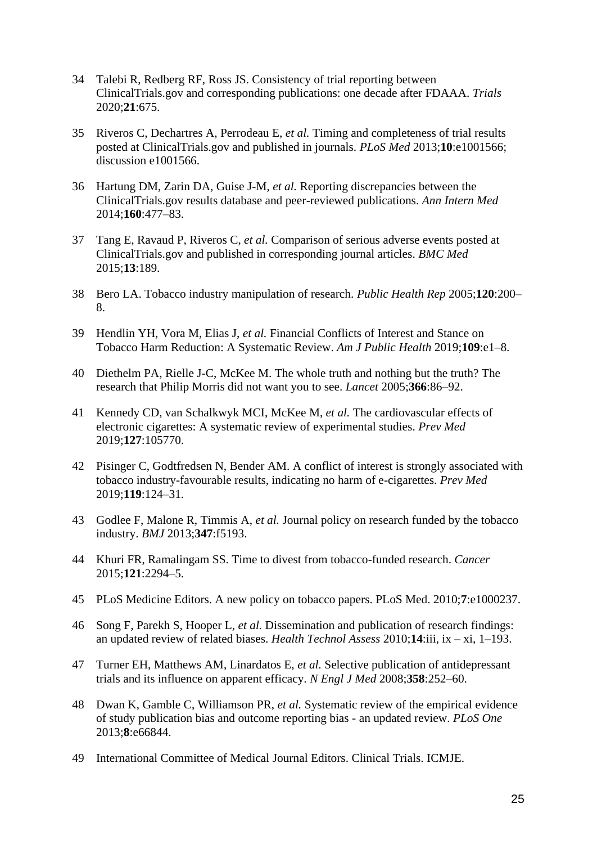- 34 [Talebi R, Redberg RF, Ross JS. Consistency of trial reporting](http://paperpile.com/b/Jq9uH1/yomVw) between [ClinicalTrials.gov and corresponding publications: one decade after FDAAA.](http://paperpile.com/b/Jq9uH1/yomVw) *[Trials](http://paperpile.com/b/Jq9uH1/yomVw)* [2020;](http://paperpile.com/b/Jq9uH1/yomVw)**[21](http://paperpile.com/b/Jq9uH1/yomVw)**[:675.](http://paperpile.com/b/Jq9uH1/yomVw)
- 35 [Riveros C, Dechartres A, Perrodeau E,](http://paperpile.com/b/Jq9uH1/3wFV6) *[et al.](http://paperpile.com/b/Jq9uH1/3wFV6)* [Timing and completeness of trial results](http://paperpile.com/b/Jq9uH1/3wFV6)  [posted at ClinicalTrials.gov and published in journals.](http://paperpile.com/b/Jq9uH1/3wFV6) *[PLoS Med](http://paperpile.com/b/Jq9uH1/3wFV6)* [2013;](http://paperpile.com/b/Jq9uH1/3wFV6)**[10](http://paperpile.com/b/Jq9uH1/3wFV6)**[:e1001566;](http://paperpile.com/b/Jq9uH1/3wFV6)  [discussion e1001566.](http://paperpile.com/b/Jq9uH1/3wFV6)
- 36 [Hartung DM, Zarin DA, Guise J-M,](http://paperpile.com/b/Jq9uH1/lKXac) *[et al.](http://paperpile.com/b/Jq9uH1/lKXac)* [Reporting discrepancies between the](http://paperpile.com/b/Jq9uH1/lKXac)  [ClinicalTrials.gov results database and peer-reviewed publications.](http://paperpile.com/b/Jq9uH1/lKXac) *[Ann Intern Med](http://paperpile.com/b/Jq9uH1/lKXac)* [2014;](http://paperpile.com/b/Jq9uH1/lKXac)**[160](http://paperpile.com/b/Jq9uH1/lKXac)**[:477–83.](http://paperpile.com/b/Jq9uH1/lKXac)
- 37 [Tang E, Ravaud P, Riveros C,](http://paperpile.com/b/Jq9uH1/GobfO) *[et al.](http://paperpile.com/b/Jq9uH1/GobfO)* [Comparison of serious adverse events posted at](http://paperpile.com/b/Jq9uH1/GobfO)  [ClinicalTrials.gov and published in corresponding journal articles.](http://paperpile.com/b/Jq9uH1/GobfO) *[BMC Med](http://paperpile.com/b/Jq9uH1/GobfO)* [2015;](http://paperpile.com/b/Jq9uH1/GobfO)**[13](http://paperpile.com/b/Jq9uH1/GobfO)**[:189.](http://paperpile.com/b/Jq9uH1/GobfO)
- 38 [Bero LA. Tobacco industry manipulation of research.](http://paperpile.com/b/Jq9uH1/m7Ide) *[Public Health Rep](http://paperpile.com/b/Jq9uH1/m7Ide)* [2005;](http://paperpile.com/b/Jq9uH1/m7Ide)**[120](http://paperpile.com/b/Jq9uH1/m7Ide)**[:200–](http://paperpile.com/b/Jq9uH1/m7Ide) [8.](http://paperpile.com/b/Jq9uH1/m7Ide)
- 39 [Hendlin YH, Vora M, Elias J,](http://paperpile.com/b/Jq9uH1/lZsYb) *[et al.](http://paperpile.com/b/Jq9uH1/lZsYb)* [Financial Conflicts of Interest and Stance on](http://paperpile.com/b/Jq9uH1/lZsYb)  [Tobacco Harm Reduction: A Systematic Review.](http://paperpile.com/b/Jq9uH1/lZsYb) *[Am J Public Health](http://paperpile.com/b/Jq9uH1/lZsYb)* [2019;](http://paperpile.com/b/Jq9uH1/lZsYb)**[109](http://paperpile.com/b/Jq9uH1/lZsYb)**[:e1–8.](http://paperpile.com/b/Jq9uH1/lZsYb)
- 40 [Diethelm PA, Rielle J-C, McKee M. The whole truth and nothing but the truth? The](http://paperpile.com/b/Jq9uH1/4miS7)  [research that Philip Morris did not want you to see.](http://paperpile.com/b/Jq9uH1/4miS7) *[Lancet](http://paperpile.com/b/Jq9uH1/4miS7)* [2005;](http://paperpile.com/b/Jq9uH1/4miS7)**[366](http://paperpile.com/b/Jq9uH1/4miS7)**[:86–92.](http://paperpile.com/b/Jq9uH1/4miS7)
- 41 [Kennedy CD, van Schalkwyk MCI, McKee M,](http://paperpile.com/b/Jq9uH1/UKyC6) *[et al.](http://paperpile.com/b/Jq9uH1/UKyC6)* [The cardiovascular effects of](http://paperpile.com/b/Jq9uH1/UKyC6)  [electronic cigarettes: A systematic review of experimental studies.](http://paperpile.com/b/Jq9uH1/UKyC6) *[Prev Med](http://paperpile.com/b/Jq9uH1/UKyC6)* [2019;](http://paperpile.com/b/Jq9uH1/UKyC6)**[127](http://paperpile.com/b/Jq9uH1/UKyC6)**[:105770.](http://paperpile.com/b/Jq9uH1/UKyC6)
- 42 [Pisinger C, Godtfredsen N, Bender AM. A conflict of interest is strongly associated with](http://paperpile.com/b/Jq9uH1/ebpry)  [tobacco industry-favourable results, indicating no harm of e-cigarettes.](http://paperpile.com/b/Jq9uH1/ebpry) *[Prev Med](http://paperpile.com/b/Jq9uH1/ebpry)* [2019;](http://paperpile.com/b/Jq9uH1/ebpry)**[119](http://paperpile.com/b/Jq9uH1/ebpry)**[:124–31.](http://paperpile.com/b/Jq9uH1/ebpry)
- 43 [Godlee F, Malone R, Timmis A,](http://paperpile.com/b/Jq9uH1/jmF8H) *[et al.](http://paperpile.com/b/Jq9uH1/jmF8H)* [Journal policy on research funded by the tobacco](http://paperpile.com/b/Jq9uH1/jmF8H)  [industry.](http://paperpile.com/b/Jq9uH1/jmF8H) *[BMJ](http://paperpile.com/b/Jq9uH1/jmF8H)* [2013;](http://paperpile.com/b/Jq9uH1/jmF8H)**[347](http://paperpile.com/b/Jq9uH1/jmF8H)**[:f5193.](http://paperpile.com/b/Jq9uH1/jmF8H)
- 44 [Khuri FR, Ramalingam SS. Time to divest from tobacco-funded research.](http://paperpile.com/b/Jq9uH1/ZzuB4) *[Cancer](http://paperpile.com/b/Jq9uH1/ZzuB4)* [2015;](http://paperpile.com/b/Jq9uH1/ZzuB4)**[121](http://paperpile.com/b/Jq9uH1/ZzuB4)**[:2294–5.](http://paperpile.com/b/Jq9uH1/ZzuB4)
- 45 [PLoS Medicine Editors. A new policy on tobacco papers. PLoS Med. 2010;](http://paperpile.com/b/Jq9uH1/vpHUT)**[7](http://paperpile.com/b/Jq9uH1/vpHUT)**[:e1000237.](http://paperpile.com/b/Jq9uH1/vpHUT)
- 46 [Song F, Parekh S, Hooper L,](http://paperpile.com/b/Jq9uH1/a4K77) *[et al.](http://paperpile.com/b/Jq9uH1/a4K77)* [Dissemination and publication of research findings:](http://paperpile.com/b/Jq9uH1/a4K77)  [an updated review of related biases.](http://paperpile.com/b/Jq9uH1/a4K77) *[Health Technol Assess](http://paperpile.com/b/Jq9uH1/a4K77)* [2010;](http://paperpile.com/b/Jq9uH1/a4K77)**[14](http://paperpile.com/b/Jq9uH1/a4K77)**:iii, ix – [xi, 1–193.](http://paperpile.com/b/Jq9uH1/a4K77)
- 47 [Turner EH, Matthews AM, Linardatos E,](http://paperpile.com/b/Jq9uH1/QRedh) *[et al.](http://paperpile.com/b/Jq9uH1/QRedh)* [Selective publication of antidepressant](http://paperpile.com/b/Jq9uH1/QRedh)  [trials and its influence on apparent efficacy.](http://paperpile.com/b/Jq9uH1/QRedh) *[N Engl J Med](http://paperpile.com/b/Jq9uH1/QRedh)* [2008;](http://paperpile.com/b/Jq9uH1/QRedh)**[358](http://paperpile.com/b/Jq9uH1/QRedh)**[:252–60.](http://paperpile.com/b/Jq9uH1/QRedh)
- 48 [Dwan K, Gamble C, Williamson PR,](http://paperpile.com/b/Jq9uH1/FT6dU) *[et al.](http://paperpile.com/b/Jq9uH1/FT6dU)* [Systematic review of the empirical evidence](http://paperpile.com/b/Jq9uH1/FT6dU)  [of study publication bias and outcome reporting bias -](http://paperpile.com/b/Jq9uH1/FT6dU) an updated review. *[PLoS One](http://paperpile.com/b/Jq9uH1/FT6dU)* [2013;](http://paperpile.com/b/Jq9uH1/FT6dU)**[8](http://paperpile.com/b/Jq9uH1/FT6dU)**[:e66844.](http://paperpile.com/b/Jq9uH1/FT6dU)
- 49 [International Committee of Medical Journal Editors. Clinical Trials. ICMJE.](http://paperpile.com/b/Jq9uH1/oUIUm)